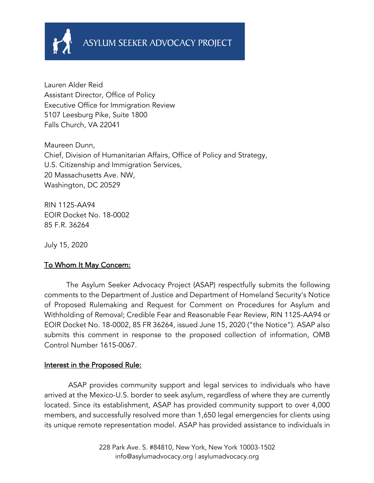

Lauren Alder Reid Assistant Director, Office of Policy Executive Office for Immigration Review 5107 Leesburg Pike, Suite 1800 Falls Church, VA 22041

Maureen Dunn, Chief, Division of Humanitarian Affairs, Office of Policy and Strategy, U.S. Citizenship and Immigration Services, 20 Massachusetts Ave. NW, Washington, DC 20529

RIN 1125-AA94 EOIR Docket No. 18-0002 85 F.R. 36264

July 15, 2020

### To Whom It May Concern:

 The Asylum Seeker Advocacy Project (ASAP) respectfully submits the following comments to the Department of Justice and Department of Homeland Security's Notice of Proposed Rulemaking and Request for Comment on Procedures for Asylum and Withholding of Removal; Credible Fear and Reasonable Fear Review, RIN 1125-AA94 or EOIR Docket No. 18-0002, 85 FR 36264, issued June 15, 2020 ("the Notice"). ASAP also submits this comment in response to the proposed collection of information, OMB Control Number 1615-0067.

### Interest in the Proposed Rule:

 ASAP provides community support and legal services to individuals who have arrived at the Mexico-U.S. border to seek asylum, regardless of where they are currently located. Since its establishment, ASAP has provided community support to over 4,000 members, and successfully resolved more than 1,650 legal emergencies for clients using its unique remote representation model. ASAP has provided assistance to individuals in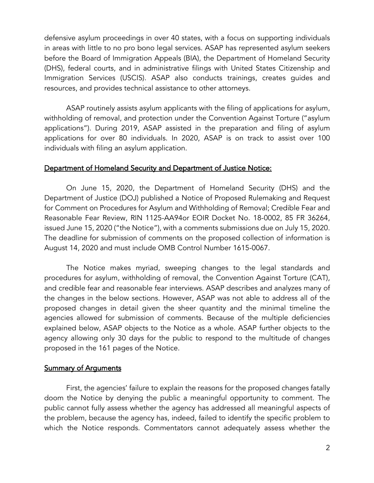defensive asylum proceedings in over 40 states, with a focus on supporting individuals in areas with little to no pro bono legal services. ASAP has represented asylum seekers before the Board of Immigration Appeals (BIA), the Department of Homeland Security (DHS), federal courts, and in administrative filings with United States Citizenship and Immigration Services (USCIS). ASAP also conducts trainings, creates guides and resources, and provides technical assistance to other attorneys.

ASAP routinely assists asylum applicants with the filing of applications for asylum, withholding of removal, and protection under the Convention Against Torture ("asylum applications"). During 2019, ASAP assisted in the preparation and filing of asylum applications for over 80 individuals. In 2020, ASAP is on track to assist over 100 individuals with filing an asylum application.

#### Department of Homeland Security and Department of Justice Notice:

 On June 15, 2020, the Department of Homeland Security (DHS) and the Department of Justice (DOJ) published a Notice of Proposed Rulemaking and Request for Comment on Procedures for Asylum and Withholding of Removal; Credible Fear and Reasonable Fear Review, RIN 1125-AA94or EOIR Docket No. 18-0002, 85 FR 36264, issued June 15, 2020 ("the Notice"), with a comments submissions due on July 15, 2020. The deadline for submission of comments on the proposed collection of information is August 14, 2020 and must include OMB Control Number 1615-0067.

The Notice makes myriad, sweeping changes to the legal standards and procedures for asylum, withholding of removal, the Convention Against Torture (CAT), and credible fear and reasonable fear interviews. ASAP describes and analyzes many of the changes in the below sections. However, ASAP was not able to address all of the proposed changes in detail given the sheer quantity and the minimal timeline the agencies allowed for submission of comments. Because of the multiple deficiencies explained below, ASAP objects to the Notice as a whole. ASAP further objects to the agency allowing only 30 days for the public to respond to the multitude of changes proposed in the 161 pages of the Notice.

### Summary of Arguments

First, the agencies' failure to explain the reasons for the proposed changes fatally doom the Notice by denying the public a meaningful opportunity to comment. The public cannot fully assess whether the agency has addressed all meaningful aspects of the problem, because the agency has, indeed, failed to identify the specific problem to which the Notice responds. Commentators cannot adequately assess whether the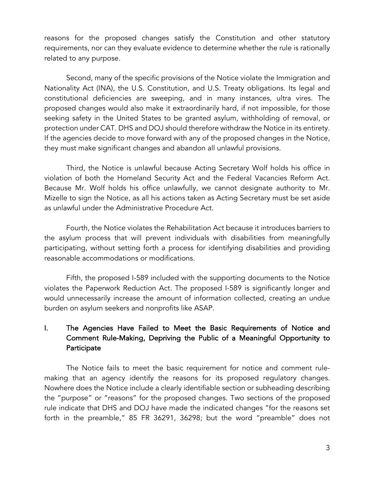reasons for the proposed changes satisfy the Constitution and other statutory requirements, nor can they evaluate evidence to determine whether the rule is rationally related to any purpose.

Second, many of the specific provisions of the Notice violate the Immigration and Nationality Act (INA), the U.S. Constitution, and U.S. Treaty obligations. Its legal and constitutional deficiencies are sweeping, and in many instances, ultra vires. The proposed changes would also make it extraordinarily hard, if not impossible, for those seeking safety in the United States to be granted asylum, withholding of removal, or protection under CAT. DHS and DOJ should therefore withdraw the Notice in its entirety. If the agencies decide to move forward with any of the proposed changes in the Notice, they must make significant changes and abandon all unlawful provisions.

Third, the Notice is unlawful because Acting Secretary Wolf holds his office in violation of both the Homeland Security Act and the Federal Vacancies Reform Act. Because Mr. Wolf holds his office unlawfully, we cannot designate authority to Mr. Mizelle to sign the Notice, as all his actions taken as Acting Secretary must be set aside as unlawful under the Administrative Procedure Act.

Fourth, the Notice violates the Rehabilitation Act because it introduces barriers to the asylum process that will prevent individuals with disabilities from meaningfully participating, without setting forth a process for identifying disabilities and providing reasonable accommodations or modifications.

Fifth, the proposed I-589 included with the supporting documents to the Notice violates the Paperwork Reduction Act. The proposed I-589 is significantly longer and would unnecessarily increase the amount of information collected, creating an undue burden on asylum seekers and nonprofits like ASAP.

# I. The Agencies Have Failed to Meet the Basic Requirements of Notice and Comment Rule-Making, Depriving the Public of a Meaningful Opportunity to Participate

The Notice fails to meet the basic requirement for notice and comment rulemaking that an agency identify the reasons for its proposed regulatory changes. Nowhere does the Notice include a clearly identifiable section or subheading describing the "purpose" or "reasons" for the proposed changes. Two sections of the proposed rule indicate that DHS and DOJ have made the indicated changes "for the reasons set forth in the preamble," 85 FR 36291, 36298; but the word "preamble" does not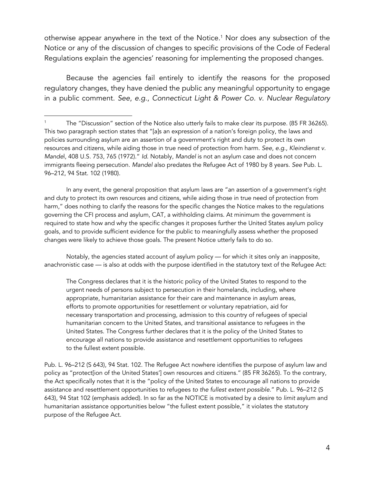otherwise appear anywhere in the text of the Notice. <sup>1</sup> Nor does any subsection of the Notice or any of the discussion of changes to specific provisions of the Code of Federal Regulations explain the agencies' reasoning for implementing the proposed changes.

Because the agencies fail entirely to identify the reasons for the proposed regulatory changes, they have denied the public any meaningful opportunity to engage in a public comment. *See*, *e.g*., *Connecticut Light & Power Co. v. Nuclear Regulatory* 

In any event, the general proposition that asylum laws are "an assertion of a government's right and duty to protect its own resources and citizens, while aiding those in true need of protection from harm," does nothing to clarify the reasons for the specific changes the Notice makes to the regulations governing the CFI process and asylum, CAT, a withholding claims. At minimum the government is required to state how and why the specific changes it proposes further the United States asylum policy goals, and to provide sufficient evidence for the public to meaningfully assess whether the proposed changes were likely to achieve those goals. The present Notice utterly fails to do so.

Notably, the agencies stated account of asylum policy — for which it sites only an inapposite, anachronistic case — is also at odds with the purpose identified in the statutory text of the Refugee Act:

The Congress declares that it is the historic policy of the United States to respond to the urgent needs of persons subject to persecution in their homelands, including, where appropriate, humanitarian assistance for their care and maintenance in asylum areas, efforts to promote opportunities for resettlement or voluntary repatriation, aid for necessary transportation and processing, admission to this country of refugees of special humanitarian concern to the United States, and transitional assistance to refugees in the United States. The Congress further declares that it is the policy of the United States to encourage all nations to provide assistance and resettlement opportunities to refugees to the fullest extent possible.

Pub. L. 96–212 (S 643), 94 Stat. 102. The Refugee Act nowhere identifies the purpose of asylum law and policy as "protect[ion of the United States'] own resources and citizens." (85 FR 36265). To the contrary, the Act specifically notes that it is the "policy of the United States to encourage all nations to provide assistance and resettlement opportunities to refugees *to the fullest extent possible*." Pub. L. 96–212 (S 643), 94 Stat 102 (emphasis added). In so far as the NOTICE is motivated by a desire to *limit* asylum and humanitarian assistance opportunities below "the fullest extent possible," it violates the statutory purpose of the Refugee Act.

The "Discussion" section of the Notice also utterly fails to make clear its purpose. (85 FR 36265). This two paragraph section states that "[a]s an expression of a nation's foreign policy, the laws and policies surrounding asylum are an assertion of a government's right and duty to protect its own resources and citizens, while aiding those in true need of protection from harm. *See*, *e.g*., *Kleindienst v. Mande*l, 408 U.S. 753, 765 (1972)." *Id*. Notably, *Mandel* is not an asylum case and does not concern immigrants fleeing persecution. *Mandel* also predates the Refugee Act of 1980 by 8 years. *See* Pub. L. 96–212, 94 Stat. 102 (1980).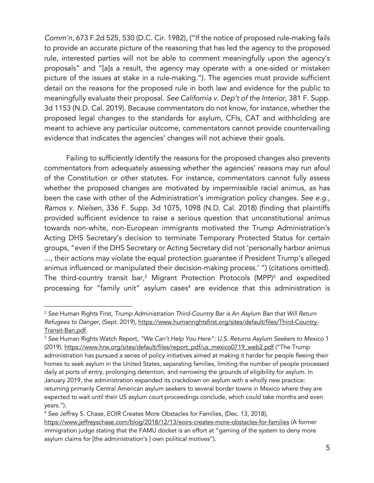*Comm'n*, 673 F.2d 525, 530 (D.C. Cir. 1982), ("If the notice of proposed rule-making fails to provide an accurate picture of the reasoning that has led the agency to the proposed rule, interested parties will not be able to comment meaningfully upon the agency's proposals" and "[a]s a result, the agency may operate with a one-sided or mistaken picture of the issues at stake in a rule-making."). The agencies must provide sufficient detail on the reasons for the proposed rule in both law and evidence for the public to meaningfully evaluate their proposal. *See California v. Dep't of the Interior*, 381 F. Supp. 3d 1153 (N.D. Cal. 2019). Because commentators do not know, for instance, whether the proposed legal changes to the standards for asylum, CFIs, CAT and withholding are meant to achieve any particular outcome, commentators cannot provide countervailing evidence that indicates the agencies' changes will not achieve their goals.

Failing to sufficiently identify the reasons for the proposed changes also prevents commentators from adequately assessing whether the agencies' reasons may run afoul of the Constitution or other statutes. For instance, commentators cannot fully assess whether the proposed changes are motivated by impermissible racial animus, as has been the case with other of the Administration's immigration policy changes. *See e.g*., *Ramos v. Nielsen,* 336 F. Supp. 3d 1075, 1098 (N.D. Cal. 2018) (finding that plaintiffs provided sufficient evidence to raise a serious question that unconstitutional animus towards non-white, non-European immigrants motivated the Trump Administration's Acting DHS Secretary's decision to terminate Temporary Protected Status for certain groups, "even if the DHS Secretary or Acting Secretary did not 'personally harbor animus ..., their actions may violate the equal protection guarantee if President Trump's alleged animus influenced or manipulated their decision-making process.' ") (citations omitted). The third-country transit bar,<sup>2</sup> Migrant Protection Protocols (MPP)<sup>3</sup> and expedited processing for "family unit" asylum cases<sup>4</sup> are evidence that this administration is

<sup>2</sup> *See* Human Rights First, *Trump Administration Third-Country Bar is An Asylum Ban that Will Return Refugees to Danger*, (Sept. 2019), https://www.humanrightsfirst.org/sites/default/files/Third-Country-Transit-Ban.pdf.

<sup>3</sup> *See* Human Rights Watch Report, *"We Can't Help You Here": U.S. Returns Asylum Seekers to Mexico* 1 (2019), https://www.hrw.org/sites/default/files/report\_pdf/us\_mexico0719\_web2.pdf ("The Trump administration has pursued a series of policy initiatives aimed at making it harder for people fleeing their homes to seek asylum in the United States, separating families, limiting the number of people processed daily at ports of entry, prolonging detention, and narrowing the grounds of eligibility for asylum. In January 2019, the administration expanded its crackdown on asylum with a wholly new practice: returning primarily Central American asylum seekers to several border towns in Mexico where they are expected to wait until their US asylum court proceedings conclude, which could take months and even years.").

<sup>4</sup> *See* Jeffrey S. Chase, EOIR Creates More Obstacles for Families, (Dec. 13, 2018),

https://www.jeffreyschase.com/blog/2018/12/13/eoirs-creates-more-obstacles-for-families (A former immigration judge stating that the FAMU docket is an effort at "gaming of the system to deny more asylum claims for [the administration's ] own political motives").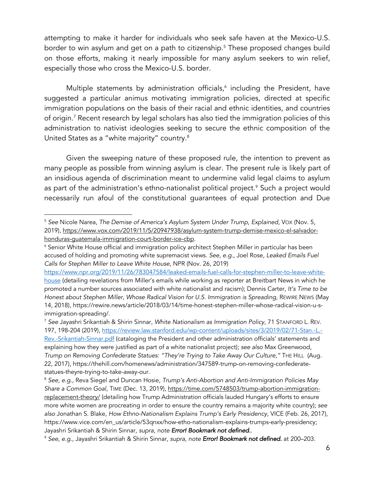attempting to make it harder for individuals who seek safe haven at the Mexico-U.S. border to win asylum and get on a path to citizenship.<sup>5</sup> These proposed changes build on those efforts, making it nearly impossible for many asylum seekers to win relief, especially those who cross the Mexico-U.S. border.

Multiple statements by administration officials, $6$  including the President, have suggested a particular animus motivating immigration policies, directed at specific immigration populations on the basis of their racial and ethnic identities, and countries of origin.7 Recent research by legal scholars has also tied the immigration policies of this administration to nativist ideologies seeking to secure the ethnic composition of the United States as a "white majority" country.8

Given the sweeping nature of these proposed rule, the intention to prevent as many people as possible from winning asylum is clear. The present rule is likely part of an insidious agenda of discrimination meant to undermine valid legal claims to asylum as part of the administration's ethno-nationalist political project.<sup>9</sup> Such a project would necessarily run afoul of the constitutional guarantees of equal protection and Due

<sup>5</sup> *See* Nicole Narea, *The Demise of America's Asylum System Under Trump*, *Explained*, VOX (Nov. 5, 2019), https://www.vox.com/2019/11/5/20947938/asylum-system-trump-demise-mexico-el-salvadorhonduras-guatemala-immigration-court-border-ice-cbp.

<sup>&</sup>lt;sup>6</sup> Senior White House official and immigration policy architect Stephen Miller in particular has been accused of holding and promoting white supremacist views. *See*, *e.g*., Joel Rose, *Leaked Emails Fuel Calls for Stephen Miller to Leave White House*, NPR (Nov. 26, 2019)

https://www.npr.org/2019/11/26/783047584/leaked-emails-fuel-calls-for-stephen-miller-to-leave-whitehouse (detailing revelations from Miller's emails while working as reporter at Breitbart News in which he promoted a number sources associated with white nationalist and racism); Dennis Carter, *It's Time to be Honest about Stephen Miller, Whose Radical Vision for U.S. Immigration is Spreading*, REWIRE NEWS (May 14, 2018), https://rewire.news/article/2018/03/14/time-honest-stephen-miller-whose-radical-vision-u-simmigration-spreading/.

<sup>7</sup> *See* Jayashri Srikantiah & Shirin Sinnar, *White Nationalism as Immigration Policy*, 71 STANFORD L. REV. 197, 198-204 (2019), https://review.law.stanford.edu/wp-content/uploads/sites/3/2019/02/71-Stan.-L.- Rev.-Srikantiah-Sinnar.pdf (cataloging the President and other administration officials' statements and explaining how they were justified as part of a white nationalist project); *see also* Max Greenwood, *Trump on Removing Confederate Statues: "They're Trying to Take Away Our Culture,"* THE HILL (Aug. 22, 2017), https://thehill.com/homenews/administration/347589-trump-on-removing-confederatestatues-theyre-trying-to-take-away-our.

<sup>8</sup> *See, e.g.,* Reva Siegel and Duncan Hosie, *Trump's Anti-Abortion and Anti-Immigration Policies May Share a Common Goal*, TIME (Dec. 13, 2019), https://time.com/5748503/trump-abortion-immigrationreplacement-theory/ (detailing how Trump Administration officials lauded Hungary's efforts to ensure more white women are procreating in order to ensure the country remains a majority white country); *see also* Jonathan S. Blake, *How Ethno-Nationalism Explains Trump's Early Presidency*, VICE (Feb. 26, 2017), https://www.vice.com/en\_us/article/53qnxx/how-etho-nationalism-explains-trumps-early-presidency; Jayashri Srikantiah & Shirin Sinnar, *supra, note Error! Bookmark not defined.*.

<sup>9</sup> *See, e.g*., Jayashri Srikantiah & Shirin Sinnar, *supra, note Error! Bookmark not defined.* at 200–203.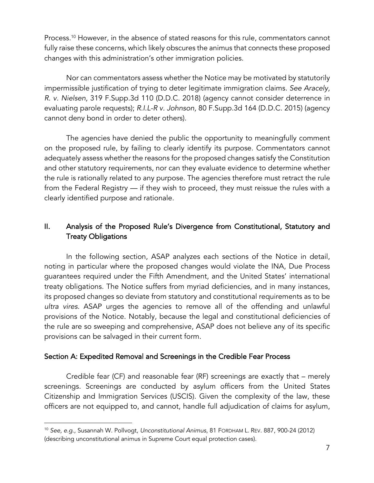Process.<sup>10</sup> However, in the absence of stated reasons for this rule, commentators cannot fully raise these concerns, which likely obscures the animus that connects these proposed changes with this administration's other immigration policies.

Nor can commentators assess whether the Notice may be motivated by statutorily impermissible justification of trying to deter legitimate immigration claims. *See Aracely, R. v. Nielsen,* 319 F.Supp.3d 110 (D.D.C. 2018) (agency cannot consider deterrence in evaluating parole requests); *R.I.L-R v. Johnson,* 80 F.Supp.3d 164 (D.D.C. 2015) (agency cannot deny bond in order to deter others).

The agencies have denied the public the opportunity to meaningfully comment on the proposed rule, by failing to clearly identify its purpose. Commentators cannot adequately assess whether the reasons for the proposed changes satisfy the Constitution and other statutory requirements, nor can they evaluate evidence to determine whether the rule is rationally related to any purpose. The agencies therefore must retract the rule from the Federal Registry — if they wish to proceed, they must reissue the rules with a clearly identified purpose and rationale.

# II. Analysis of the Proposed Rule's Divergence from Constitutional, Statutory and Treaty Obligations

In the following section, ASAP analyzes each sections of the Notice in detail, noting in particular where the proposed changes would violate the INA, Due Process guarantees required under the Fifth Amendment, and the United States' international treaty obligations. The Notice suffers from myriad deficiencies, and in many instances, its proposed changes so deviate from statutory and constitutional requirements as to be *ultra vires*. ASAP urges the agencies to remove all of the offending and unlawful provisions of the Notice. Notably, because the legal and constitutional deficiencies of the rule are so sweeping and comprehensive, ASAP does not believe any of its specific provisions can be salvaged in their current form.

### Section A: Expedited Removal and Screenings in the Credible Fear Process

Credible fear (CF) and reasonable fear (RF) screenings are exactly that – merely screenings. Screenings are conducted by asylum officers from the United States Citizenship and Immigration Services (USCIS). Given the complexity of the law, these officers are not equipped to, and cannot, handle full adjudication of claims for asylum,

<sup>10</sup> *See, e.g.,* Susannah W. Pollvogt*, Unconstitutional Animus*, 81 FORDHAM L. REV. 887, 900-24 (2012) (describing unconstitutional animus in Supreme Court equal protection cases).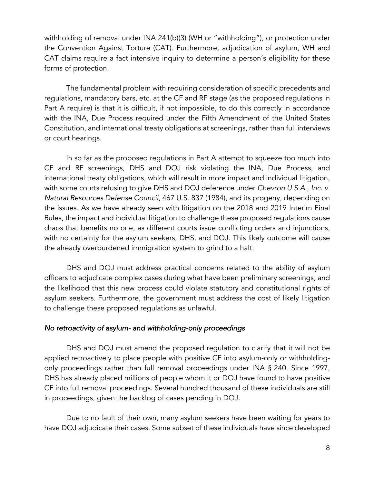withholding of removal under INA 241(b)(3) (WH or "withholding"), or protection under the Convention Against Torture (CAT). Furthermore, adjudication of asylum, WH and CAT claims require a fact intensive inquiry to determine a person's eligibility for these forms of protection.

The fundamental problem with requiring consideration of specific precedents and regulations, mandatory bars, etc. at the CF and RF stage (as the proposed regulations in Part A require) is that it is difficult, if not impossible, to do this correctly in accordance with the INA, Due Process required under the Fifth Amendment of the United States Constitution, and international treaty obligations at screenings, rather than full interviews or court hearings.

In so far as the proposed regulations in Part A attempt to squeeze too much into CF and RF screenings, DHS and DOJ risk violating the INA, Due Process, and international treaty obligations, which will result in more impact and individual litigation, with some courts refusing to give DHS and DOJ deference under *Chevron U.S.A., Inc. v. Natural Resources Defense Council*, 467 U.S. 837 (1984), and its progeny, depending on the issues. As we have already seen with litigation on the 2018 and 2019 Interim Final Rules, the impact and individual litigation to challenge these proposed regulations cause chaos that benefits no one, as different courts issue conflicting orders and injunctions, with no certainty for the asylum seekers, DHS, and DOJ. This likely outcome will cause the already overburdened immigration system to grind to a halt.

DHS and DOJ must address practical concerns related to the ability of asylum officers to adjudicate complex cases during what have been preliminary screenings, and the likelihood that this new process could violate statutory and constitutional rights of asylum seekers. Furthermore, the government must address the cost of likely litigation to challenge these proposed regulations as unlawful.

### *No retroactivity of asylum- and withholding-only proceedings*

DHS and DOJ must amend the proposed regulation to clarify that it will not be applied retroactively to place people with positive CF into asylum-only or withholdingonly proceedings rather than full removal proceedings under INA § 240. Since 1997, DHS has already placed millions of people whom it or DOJ have found to have positive CF into full removal proceedings. Several hundred thousand of these individuals are still in proceedings, given the backlog of cases pending in DOJ.

Due to no fault of their own, many asylum seekers have been waiting for years to have DOJ adjudicate their cases. Some subset of these individuals have since developed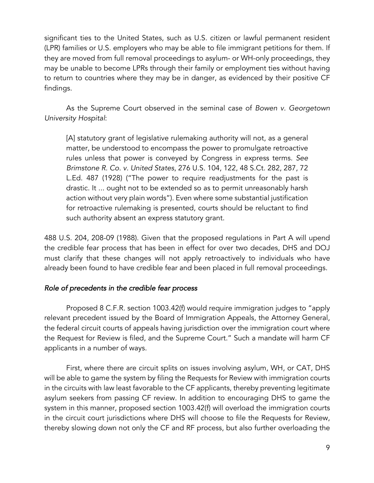significant ties to the United States, such as U.S. citizen or lawful permanent resident (LPR) families or U.S. employers who may be able to file immigrant petitions for them. If they are moved from full removal proceedings to asylum- or WH-only proceedings, they may be unable to become LPRs through their family or employment ties without having to return to countries where they may be in danger, as evidenced by their positive CF findings.

As the Supreme Court observed in the seminal case of *Bowen v. Georgetown University Hospital*:

[A] statutory grant of legislative rulemaking authority will not, as a general matter, be understood to encompass the power to promulgate retroactive rules unless that power is conveyed by Congress in express terms. *See Brimstone R. Co. v. United States*, 276 U.S. 104, 122, 48 S.Ct. 282, 287, 72 L.Ed. 487 (1928) ("The power to require readjustments for the past is drastic. It ... ought not to be extended so as to permit unreasonably harsh action without very plain words"). Even where some substantial justification for retroactive rulemaking is presented, courts should be reluctant to find such authority absent an express statutory grant.

488 U.S. 204, 208-09 (1988). Given that the proposed regulations in Part A will upend the credible fear process that has been in effect for over two decades, DHS and DOJ must clarify that these changes will not apply retroactively to individuals who have already been found to have credible fear and been placed in full removal proceedings.

## *Role of precedents in the credible fear process*

Proposed 8 C.F.R. section 1003.42(f) would require immigration judges to "apply relevant precedent issued by the Board of Immigration Appeals, the Attorney General, the federal circuit courts of appeals having jurisdiction over the immigration court where the Request for Review is filed, and the Supreme Court." Such a mandate will harm CF applicants in a number of ways.

First, where there are circuit splits on issues involving asylum, WH, or CAT, DHS will be able to game the system by filing the Requests for Review with immigration courts in the circuits with law least favorable to the CF applicants, thereby preventing legitimate asylum seekers from passing CF review. In addition to encouraging DHS to game the system in this manner, proposed section 1003.42(f) will overload the immigration courts in the circuit court jurisdictions where DHS will choose to file the Requests for Review, thereby slowing down not only the CF and RF process, but also further overloading the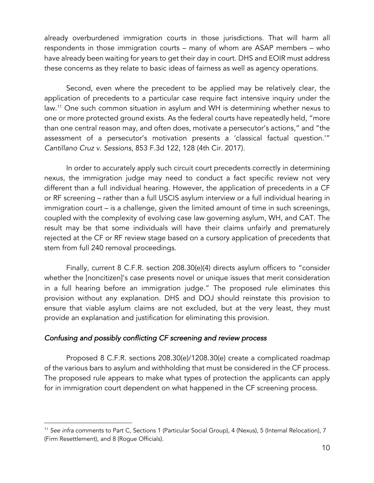already overburdened immigration courts in those jurisdictions. That will harm all respondents in those immigration courts – many of whom are ASAP members – who have already been waiting for years to get their day in court. DHS and EOIR must address these concerns as they relate to basic ideas of fairness as well as agency operations.

Second, even where the precedent to be applied may be relatively clear, the application of precedents to a particular case require fact intensive inquiry under the law.11 One such common situation in asylum and WH is determining whether nexus to one or more protected ground exists. As the federal courts have repeatedly held, "more than one central reason may, and often does, motivate a persecutor's actions," and "the assessment of a persecutor's motivation presents a 'classical factual question.'" *Cantillano Cruz v. Sessions*, 853 F.3d 122, 128 (4th Cir. 2017).

In order to accurately apply such circuit court precedents correctly in determining nexus, the immigration judge may need to conduct a fact specific review not very different than a full individual hearing. However, the application of precedents in a CF or RF screening – rather than a full USCIS asylum interview or a full individual hearing in immigration court – is a challenge, given the limited amount of time in such screenings, coupled with the complexity of evolving case law governing asylum, WH, and CAT. The result may be that some individuals will have their claims unfairly and prematurely rejected at the CF or RF review stage based on a cursory application of precedents that stem from full 240 removal proceedings.

Finally, current 8 C.F.R. section 208.30(e)(4) directs asylum officers to "consider whether the [noncitizen]'s case presents novel or unique issues that merit consideration in a full hearing before an immigration judge." The proposed rule eliminates this provision without any explanation. DHS and DOJ should reinstate this provision to ensure that viable asylum claims are not excluded, but at the very least, they must provide an explanation and justification for eliminating this provision.

### *Confusing and possibly conflicting CF screening and review process*

Proposed 8 C.F.R. sections 208.30(e)/1208.30(e) create a complicated roadmap of the various bars to asylum and withholding that must be considered in the CF process. The proposed rule appears to make what types of protection the applicants can apply for in immigration court dependent on what happened in the CF screening process.

<sup>11</sup> *See infra* comments to Part C, Sections 1 (Particular Social Group), 4 (Nexus), 5 (Internal Relocation), 7 (Firm Resettlement), and 8 (Rogue Officials).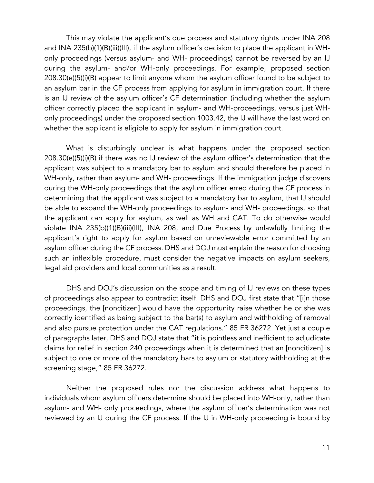This may violate the applicant's due process and statutory rights under INA 208 and INA 235(b)(1)(B)(iii)(III), if the asylum officer's decision to place the applicant in WHonly proceedings (versus asylum- and WH- proceedings) cannot be reversed by an IJ during the asylum- and/or WH-only proceedings. For example, proposed section 208.30(e)(5)(i)(B) appear to limit anyone whom the asylum officer found to be subject to an asylum bar in the CF process from applying for asylum in immigration court. If there is an IJ review of the asylum officer's CF determination (including whether the asylum officer correctly placed the applicant in asylum- and WH-proceedings, versus just WHonly proceedings) under the proposed section 1003.42, the IJ will have the last word on whether the applicant is eligible to apply for asylum in immigration court.

What is disturbingly unclear is what happens under the proposed section 208.30(e)(5)(i)(B) if there was no IJ review of the asylum officer's determination that the applicant was subject to a mandatory bar to asylum and should therefore be placed in WH-only, rather than asylum- and WH- proceedings. If the immigration judge discovers during the WH-only proceedings that the asylum officer erred during the CF process in determining that the applicant was subject to a mandatory bar to asylum, that IJ should be able to expand the WH-only proceedings to asylum- and WH- proceedings, so that the applicant can apply for asylum, as well as WH and CAT. To do otherwise would violate INA 235(b)(1)(B)(iii)(III), INA 208, and Due Process by unlawfully limiting the applicant's right to apply for asylum based on unreviewable error committed by an asylum officer during the CF process. DHS and DOJ must explain the reason for choosing such an inflexible procedure, must consider the negative impacts on asylum seekers, legal aid providers and local communities as a result.

DHS and DOJ's discussion on the scope and timing of IJ reviews on these types of proceedings also appear to contradict itself. DHS and DOJ first state that "[i]n those proceedings, the [noncitizen] would have the opportunity raise whether he or she was correctly identified as being subject to the bar(s) to asylum and withholding of removal and also pursue protection under the CAT regulations." 85 FR 36272. Yet just a couple of paragraphs later, DHS and DOJ state that "it is pointless and inefficient to adjudicate claims for relief in section 240 proceedings when it is determined that an [noncitizen] is subject to one or more of the mandatory bars to asylum or statutory withholding at the screening stage," 85 FR 36272.

Neither the proposed rules nor the discussion address what happens to individuals whom asylum officers determine should be placed into WH-only, rather than asylum- and WH- only proceedings, where the asylum officer's determination was not reviewed by an IJ during the CF process. If the IJ in WH-only proceeding is bound by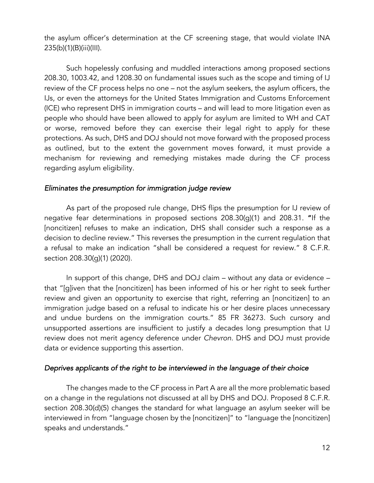the asylum officer's determination at the CF screening stage, that would violate INA 235(b)(1)(B)(iii)(III).

Such hopelessly confusing and muddled interactions among proposed sections 208.30, 1003.42, and 1208.30 on fundamental issues such as the scope and timing of IJ review of the CF process helps no one – not the asylum seekers, the asylum officers, the IJs, or even the attorneys for the United States Immigration and Customs Enforcement (ICE) who represent DHS in immigration courts – and will lead to more litigation even as people who should have been allowed to apply for asylum are limited to WH and CAT or worse, removed before they can exercise their legal right to apply for these protections. As such, DHS and DOJ should not move forward with the proposed process as outlined, but to the extent the government moves forward, it must provide a mechanism for reviewing and remedying mistakes made during the CF process regarding asylum eligibility.

#### *Eliminates the presumption for immigration judge review*

As part of the proposed rule change, DHS flips the presumption for IJ review of negative fear determinations in proposed sections 208.30(g)(1) and 208.31. "If the [noncitizen] refuses to make an indication, DHS shall consider such a response as a decision to decline review." This reverses the presumption in the current regulation that a refusal to make an indication "shall be considered a request for review." 8 C.F.R. section 208.30(g)(1) (2020).

In support of this change, DHS and DOJ claim – without any data or evidence – that "[g]iven that the [noncitizen] has been informed of his or her right to seek further review and given an opportunity to exercise that right, referring an [noncitizen] to an immigration judge based on a refusal to indicate his or her desire places unnecessary and undue burdens on the immigration courts." 85 FR 36273. Such cursory and unsupported assertions are insufficient to justify a decades long presumption that IJ review does not merit agency deference under *Chevron*. DHS and DOJ must provide data or evidence supporting this assertion.

#### *Deprives applicants of the right to be interviewed in the language of their choice*

The changes made to the CF process in Part A are all the more problematic based on a change in the regulations not discussed at all by DHS and DOJ. Proposed 8 C.F.R. section 208.30(d)(5) changes the standard for what language an asylum seeker will be interviewed in from "language chosen by the [noncitizen]" to "language the [noncitizen] speaks and understands."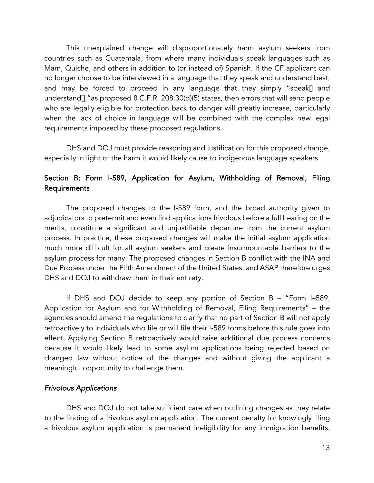This unexplained change will disproportionately harm asylum seekers from countries such as Guatemala, from where many individuals speak languages such as Mam, Quiche, and others in addition to (or instead of) Spanish. If the CF applicant can no longer choose to be interviewed in a language that they speak and understand best, and may be forced to proceed in any language that they simply "speak[] and understand[],"as proposed 8 C.F.R. 208.30(d)(5) states, then errors that will send people who are legally eligible for protection back to danger will greatly increase, particularly when the lack of choice in language will be combined with the complex new legal requirements imposed by these proposed regulations.

DHS and DOJ must provide reasoning and justification for this proposed change, especially in light of the harm it would likely cause to indigenous language speakers.

# Section B: Form I-589, Application for Asylum, Withholding of Removal, Filing Requirements

The proposed changes to the I-589 form, and the broad authority given to adjudicators to pretermit and even find applications frivolous before a full hearing on the merits, constitute a significant and unjustifiable departure from the current asylum process. In practice, these proposed changes will make the initial asylum application much more difficult for all asylum seekers and create insurmountable barriers to the asylum process for many. The proposed changes in Section B conflict with the INA and Due Process under the Fifth Amendment of the United States, and ASAP therefore urges DHS and DOJ to withdraw them in their entirety.

If DHS and DOJ decide to keep any portion of Section B – "Form I–589, Application for Asylum and for Withholding of Removal, Filing Requirements" – the agencies should amend the regulations to clarify that no part of Section B will not apply retroactively to individuals who file or will file their I-589 forms before this rule goes into effect. Applying Section B retroactively would raise additional due process concerns because it would likely lead to some asylum applications being rejected based on changed law without notice of the changes and without giving the applicant a meaningful opportunity to challenge them.

### *Frivolous Applications*

DHS and DOJ do not take sufficient care when outlining changes as they relate to the finding of a frivolous asylum application. The current penalty for knowingly filing a frivolous asylum application is permanent ineligibility for any immigration benefits,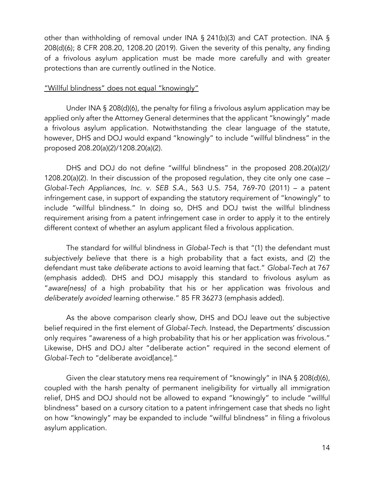other than withholding of removal under INA § 241(b)(3) and CAT protection. INA § 208(d)(6); 8 CFR 208.20, 1208.20 (2019). Given the severity of this penalty, any finding of a frivolous asylum application must be made more carefully and with greater protections than are currently outlined in the Notice.

#### "Willful blindness" does not equal "knowingly"

Under INA § 208(d)(6), the penalty for filing a frivolous asylum application may be applied only after the Attorney General determines that the applicant "knowingly" made a frivolous asylum application. Notwithstanding the clear language of the statute, however, DHS and DOJ would expand "knowingly" to include "willful blindness" in the proposed 208.20(a)(2)/1208.20(a)(2).

DHS and DOJ do not define "willful blindness" in the proposed 208.20(a)(2)/ 1208.20(a)(2). In their discussion of the proposed regulation, they cite only one case – *Global-Tech Appliances, Inc. v. SEB S.A.*, 563 U.S. 754, 769-70 (2011) – a patent infringement case, in support of expanding the statutory requirement of "knowingly" to include "willful blindness." In doing so, DHS and DOJ twist the willful blindness requirement arising from a patent infringement case in order to apply it to the entirely different context of whether an asylum applicant filed a frivolous application.

The standard for willful blindness in *Global-Tech* is that "(1) the defendant must *subjectively believe* that there is a high probability that a fact exists, and (2) the defendant must take *deliberate actions* to avoid learning that fact*.*" *Global-Tech* at 767 (emphasis added). DHS and DOJ misapply this standard to frivolous asylum as "*aware[ness]* of a high probability that his or her application was frivolous and *deliberately avoided* learning otherwise." 85 FR 36273 (emphasis added).

As the above comparison clearly show, DHS and DOJ leave out the subjective belief required in the first element of *Global-Tech*. Instead, the Departments' discussion only requires "awareness of a high probability that his or her application was frivolous." Likewise, DHS and DOJ alter "deliberate action" required in the second element of *Global-Tech* to "deliberate avoid[ance]."

Given the clear statutory mens rea requirement of "knowingly" in INA § 208(d)(6), coupled with the harsh penalty of permanent ineligibility for virtually all immigration relief, DHS and DOJ should not be allowed to expand "knowingly" to include "willful blindness" based on a cursory citation to a patent infringement case that sheds no light on how "knowingly" may be expanded to include "willful blindness" in filing a frivolous asylum application.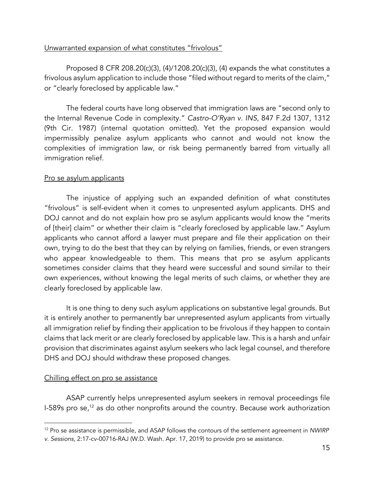## Unwarranted expansion of what constitutes "frivolous"

Proposed 8 CFR 208.20(c)(3), (4)/1208.20(c)(3), (4) expands the what constitutes a frivolous asylum application to include those "filed without regard to merits of the claim," or "clearly foreclosed by applicable law."

The federal courts have long observed that immigration laws are "second only to the Internal Revenue Code in complexity." *Castro-O'Ryan v. INS*, 847 F.2d 1307, 1312 (9th Cir. 1987) (internal quotation omitted). Yet the proposed expansion would impermissibly penalize asylum applicants who cannot and would not know the complexities of immigration law, or risk being permanently barred from virtually all immigration relief.

## Pro se asylum applicants

The injustice of applying such an expanded definition of what constitutes "frivolous" is self-evident when it comes to unpresented asylum applicants. DHS and DOJ cannot and do not explain how pro se asylum applicants would know the "merits of [their] claim" or whether their claim is "clearly foreclosed by applicable law." Asylum applicants who cannot afford a lawyer must prepare and file their application on their own, trying to do the best that they can by relying on families, friends, or even strangers who appear knowledgeable to them. This means that pro se asylum applicants sometimes consider claims that they heard were successful and sound similar to their own experiences, without knowing the legal merits of such claims, or whether they are clearly foreclosed by applicable law.

It is one thing to deny such asylum applications on substantive legal grounds. But it is entirely another to permanently bar unrepresented asylum applicants from virtually all immigration relief by finding their application to be frivolous if they happen to contain claims that lack merit or are clearly foreclosed by applicable law. This is a harsh and unfair provision that discriminates against asylum seekers who lack legal counsel, and therefore DHS and DOJ should withdraw these proposed changes.

### Chilling effect on pro se assistance

ASAP currently helps unrepresented asylum seekers in removal proceedings file I-589s pro se, $12$  as do other nonprofits around the country. Because work authorization

<sup>12</sup> Pro se assistance is permissible, and ASAP follows the contours of the settlement agreement in *NWIRP v. Sessions*, 2:17-cv-00716-RAJ (W.D. Wash. Apr. 17, 2019) to provide pro se assistance.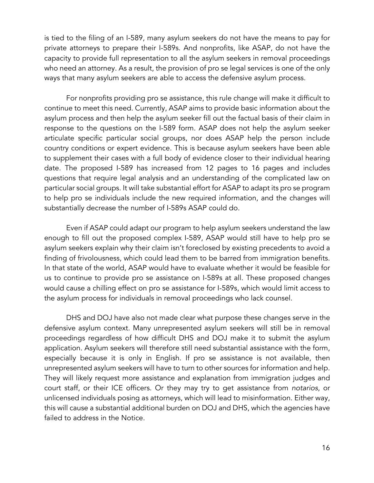is tied to the filing of an I-589, many asylum seekers do not have the means to pay for private attorneys to prepare their I-589s. And nonprofits, like ASAP, do not have the capacity to provide full representation to all the asylum seekers in removal proceedings who need an attorney. As a result, the provision of pro se legal services is one of the only ways that many asylum seekers are able to access the defensive asylum process.

For nonprofits providing pro se assistance, this rule change will make it difficult to continue to meet this need. Currently, ASAP aims to provide basic information about the asylum process and then help the asylum seeker fill out the factual basis of their claim in response to the questions on the I-589 form. ASAP does not help the asylum seeker articulate specific particular social groups, nor does ASAP help the person include country conditions or expert evidence. This is because asylum seekers have been able to supplement their cases with a full body of evidence closer to their individual hearing date. The proposed I-589 has increased from 12 pages to 16 pages and includes questions that require legal analysis and an understanding of the complicated law on particular social groups. It will take substantial effort for ASAP to adapt its pro se program to help pro se individuals include the new required information, and the changes will substantially decrease the number of I-589s ASAP could do.

Even if ASAP could adapt our program to help asylum seekers understand the law enough to fill out the proposed complex I-589, ASAP would still have to help pro se asylum seekers explain why their claim isn't foreclosed by existing precedents to avoid a finding of frivolousness, which could lead them to be barred from immigration benefits. In that state of the world, ASAP would have to evaluate whether it would be feasible for us to continue to provide pro se assistance on I-589s at all. These proposed changes would cause a chilling effect on pro se assistance for I-589s, which would limit access to the asylum process for individuals in removal proceedings who lack counsel.

DHS and DOJ have also not made clear what purpose these changes serve in the defensive asylum context. Many unrepresented asylum seekers will still be in removal proceedings regardless of how difficult DHS and DOJ make it to submit the asylum application. Asylum seekers will therefore still need substantial assistance with the form, especially because it is only in English. If pro se assistance is not available, then unrepresented asylum seekers will have to turn to other sources for information and help. They will likely request more assistance and explanation from immigration judges and court staff, or their ICE officers. Or they may try to get assistance from *notarios*, or unlicensed individuals posing as attorneys, which will lead to misinformation. Either way, this will cause a substantial additional burden on DOJ and DHS, which the agencies have failed to address in the Notice.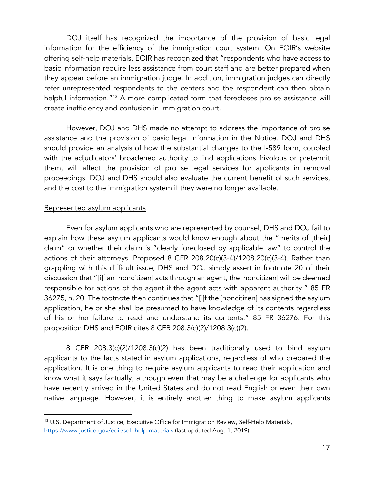DOJ itself has recognized the importance of the provision of basic legal information for the efficiency of the immigration court system. On EOIR's website offering self-help materials, EOIR has recognized that "respondents who have access to basic information require less assistance from court staff and are better prepared when they appear before an immigration judge. In addition, immigration judges can directly refer unrepresented respondents to the centers and the respondent can then obtain helpful information."<sup>13</sup> A more complicated form that forecloses pro se assistance will create inefficiency and confusion in immigration court.

However, DOJ and DHS made no attempt to address the importance of pro se assistance and the provision of basic legal information in the Notice. DOJ and DHS should provide an analysis of how the substantial changes to the I-589 form, coupled with the adjudicators' broadened authority to find applications frivolous or pretermit them, will affect the provision of pro se legal services for applicants in removal proceedings. DOJ and DHS should also evaluate the current benefit of such services, and the cost to the immigration system if they were no longer available.

#### Represented asylum applicants

Even for asylum applicants who are represented by counsel, DHS and DOJ fail to explain how these asylum applicants would know enough about the "merits of [their] claim" or whether their claim is "clearly foreclosed by applicable law" to control the actions of their attorneys. Proposed 8 CFR 208.20(c)(3-4)/1208.20(c)(3-4). Rather than grappling with this difficult issue, DHS and DOJ simply assert in footnote 20 of their discussion that "[i]f an [noncitizen] acts through an agent, the [noncitizen] will be deemed responsible for actions of the agent if the agent acts with apparent authority." 85 FR 36275, n. 20. The footnote then continues that "[i]f the [noncitizen] has signed the asylum application, he or she shall be presumed to have knowledge of its contents regardless of his or her failure to read and understand its contents." 85 FR 36276. For this proposition DHS and EOIR cites 8 CFR 208.3(c)(2)/1208.3(c)(2).

8 CFR 208.3(c)(2)/1208.3(c)(2) has been traditionally used to bind asylum applicants to the facts stated in asylum applications, regardless of who prepared the application. It is one thing to require asylum applicants to read their application and know what it says factually, although even that may be a challenge for applicants who have recently arrived in the United States and do not read English or even their own native language. However, it is entirely another thing to make asylum applicants

<sup>&</sup>lt;sup>13</sup> U.S. Department of Justice, Executive Office for Immigration Review, Self-Help Materials, https://www.justice.gov/eoir/self-help-materials (last updated Aug. 1, 2019).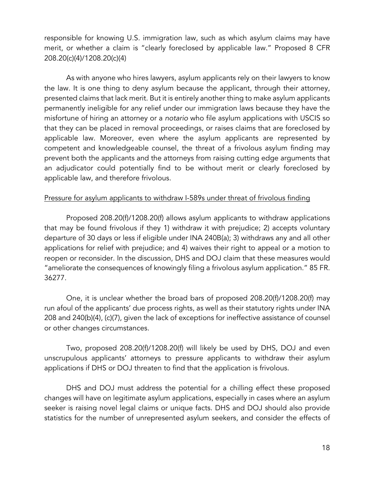responsible for knowing U.S. immigration law, such as which asylum claims may have merit, or whether a claim is "clearly foreclosed by applicable law." Proposed 8 CFR 208.20(c)(4)/1208.20(c)(4)

As with anyone who hires lawyers, asylum applicants rely on their lawyers to know the law. It is one thing to deny asylum because the applicant, through their attorney, presented claims that lack merit. But it is entirely another thing to make asylum applicants permanently ineligible for any relief under our immigration laws because they have the misfortune of hiring an attorney or a *notario* who file asylum applications with USCIS so that they can be placed in removal proceedings, or raises claims that are foreclosed by applicable law. Moreover, even where the asylum applicants are represented by competent and knowledgeable counsel, the threat of a frivolous asylum finding may prevent both the applicants and the attorneys from raising cutting edge arguments that an adjudicator could potentially find to be without merit or clearly foreclosed by applicable law, and therefore frivolous.

## Pressure for asylum applicants to withdraw I-589s under threat of frivolous finding

Proposed 208.20(f)/1208.20(f) allows asylum applicants to withdraw applications that may be found frivolous if they 1) withdraw it with prejudice; 2) accepts voluntary departure of 30 days or less if eligible under INA 240B(a); 3) withdraws any and all other applications for relief with prejudice; and 4) waives their right to appeal or a motion to reopen or reconsider. In the discussion, DHS and DOJ claim that these measures would "ameliorate the consequences of knowingly filing a frivolous asylum application." 85 FR. 36277.

One, it is unclear whether the broad bars of proposed 208.20(f)/1208.20(f) may run afoul of the applicants' due process rights, as well as their statutory rights under INA 208 and 240(b)(4), (c)(7), given the lack of exceptions for ineffective assistance of counsel or other changes circumstances.

Two, proposed 208.20(f)/1208.20(f) will likely be used by DHS, DOJ and even unscrupulous applicants' attorneys to pressure applicants to withdraw their asylum applications if DHS or DOJ threaten to find that the application is frivolous.

DHS and DOJ must address the potential for a chilling effect these proposed changes will have on legitimate asylum applications, especially in cases where an asylum seeker is raising novel legal claims or unique facts. DHS and DOJ should also provide statistics for the number of unrepresented asylum seekers, and consider the effects of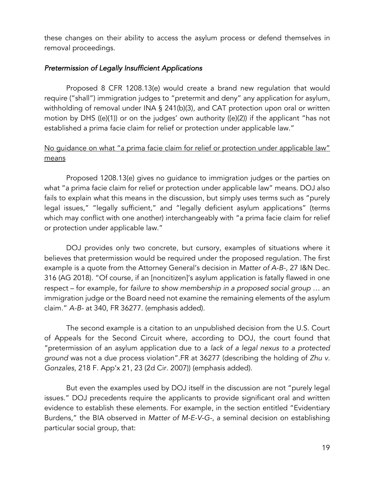these changes on their ability to access the asylum process or defend themselves in removal proceedings.

### *Pretermission of Legally Insufficient Applications*

Proposed 8 CFR 1208.13(e) would create a brand new regulation that would require ("shall") immigration judges to "pretermit and deny" any application for asylum, withholding of removal under INA § 241(b)(3), and CAT protection upon oral or written motion by DHS ((e)(1)) or on the judges' own authority ((e)(2)) if the applicant "has not established a prima facie claim for relief or protection under applicable law."

## No quidance on what "a prima facie claim for relief or protection under applicable law" means

Proposed 1208.13(e) gives no guidance to immigration judges or the parties on what "a prima facie claim for relief or protection under applicable law" means. DOJ also fails to explain what this means in the discussion, but simply uses terms such as "purely legal issues," "legally sufficient," and "legally deficient asylum applications" (terms which may conflict with one another) interchangeably with "a prima facie claim for relief or protection under applicable law."

DOJ provides only two concrete, but cursory, examples of situations where it believes that pretermission would be required under the proposed regulation. The first example is a quote from the Attorney General's decision in *Matter of A-B-*, 27 I&N Dec. 316 (AG 2018). "Of course, if an [noncitizen]'s asylum application is fatally flawed in one respect – for example, for *failure to show membership in a proposed social group* … an immigration judge or the Board need not examine the remaining elements of the asylum claim." *A-B-* at 340, FR 36277. (emphasis added).

The second example is a citation to an unpublished decision from the U.S. Court of Appeals for the Second Circuit where, according to DOJ, the court found that "pretermission of an asylum application due to a *lack of a legal nexus to a protected ground* was not a due process violation".FR at 36277 (describing the holding of *Zhu v. Gonzales*, 218 F. App'x 21, 23 (2d Cir. 2007)) (emphasis added).

But even the examples used by DOJ itself in the discussion are not "purely legal issues." DOJ precedents require the applicants to provide significant oral and written evidence to establish these elements. For example, in the section entitled "Evidentiary Burdens," the BIA observed in *Matter of M-E-V-G-*, a seminal decision on establishing particular social group, that: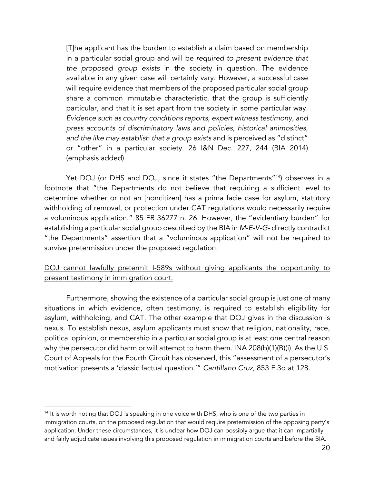[T]he applicant has the burden to establish a claim based on membership in a particular social group and will be *required to present evidence that the proposed group exists* in the society in question. The evidence available in any given case will certainly vary. However, a successful case will require evidence that members of the proposed particular social group share a common immutable characteristic, that the group is sufficiently particular, and that it is set apart from the society in some particular way. *Evidence such as country conditions reports, expert witness testimony, and press accounts of discriminatory laws and policies, historical animosities, and the like may establish that a group exists* and is perceived as "distinct" or "other" in a particular society. 26 I&N Dec. 227, 244 (BIA 2014) (emphasis added).

Yet DOJ (or DHS and DOJ, since it states "the Departments"<sup>14</sup>) observes in a footnote that "the Departments do not believe that requiring a sufficient level to determine whether or not an [noncitizen] has a prima facie case for asylum, statutory withholding of removal, or protection under CAT regulations would necessarily require a voluminous application." 85 FR 36277 n. 26. However, the "evidentiary burden" for establishing a particular social group described by the BIA in *M-E-V-G-* directly contradict "the Departments" assertion that a "voluminous application" will not be required to survive pretermission under the proposed regulation.

## DOJ cannot lawfully pretermit I-589s without giving applicants the opportunity to present testimony in immigration court.

Furthermore, showing the existence of a particular social group is just one of many situations in which evidence, often testimony, is required to establish eligibility for asylum, withholding, and CAT. The other example that DOJ gives in the discussion is nexus. To establish nexus, asylum applicants must show that religion, nationality, race, political opinion, or membership in a particular social group is at least one central reason why the persecutor did harm or will attempt to harm them. INA 208(b)(1)(B)(i). As the U.S. Court of Appeals for the Fourth Circuit has observed, this "assessment of a persecutor's motivation presents a 'classic factual question.'" *Cantillano Cruz,* 853 F.3d at 128.

<sup>&</sup>lt;sup>14</sup> It is worth noting that DOJ is speaking in one voice with DHS, who is one of the two parties in immigration courts, on the proposed regulation that would require pretermission of the opposing party's application. Under these circumstances, it is unclear how DOJ can possibly argue that it can impartially and fairly adjudicate issues involving this proposed regulation in immigration courts and before the BIA.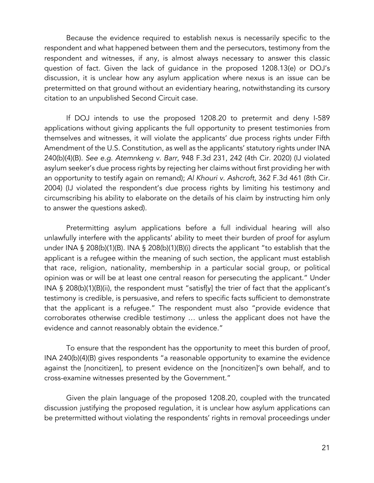Because the evidence required to establish nexus is necessarily specific to the respondent and what happened between them and the persecutors, testimony from the respondent and witnesses, if any, is almost always necessary to answer this classic question of fact. Given the lack of guidance in the proposed 1208.13(e) or DOJ's discussion, it is unclear how any asylum application where nexus is an issue can be pretermitted on that ground without an evidentiary hearing, notwithstanding its cursory citation to an unpublished Second Circuit case.

If DOJ intends to use the proposed 1208.20 to pretermit and deny I-589 applications without giving applicants the full opportunity to present testimonies from themselves and witnesses, it will violate the applicants' due process rights under Fifth Amendment of the U.S. Constitution, as well as the applicants' statutory rights under INA 240(b)(4)(B). *See e.g. Atemnkeng v. Barr*, 948 F.3d 231, 242 (4th Cir. 2020) (IJ violated asylum seeker's due process rights by rejecting her claims without first providing her with an opportunity to testify again on remand); *Al Khouri v. Ashcroft*, 362 F.3d 461 (8th Cir. 2004) (IJ violated the respondent's due process rights by limiting his testimony and circumscribing his ability to elaborate on the details of his claim by instructing him only to answer the questions asked).

Pretermitting asylum applications before a full individual hearing will also unlawfully interfere with the applicants' ability to meet their burden of proof for asylum under INA § 208(b)(1)(B). INA § 208(b)(1)(B)(i) directs the applicant "to establish that the applicant is a refugee within the meaning of such section, the applicant must establish that race, religion, nationality, membership in a particular social group, or political opinion was or will be at least one central reason for persecuting the applicant." Under INA § 208(b)(1)(B)(ii), the respondent must "satisf[y] the trier of fact that the applicant's testimony is credible, is persuasive, and refers to specific facts sufficient to demonstrate that the applicant is a refugee." The respondent must also "provide evidence that corroborates otherwise credible testimony … unless the applicant does not have the evidence and cannot reasonably obtain the evidence."

To ensure that the respondent has the opportunity to meet this burden of proof, INA 240(b)(4)(B) gives respondents "a reasonable opportunity to examine the evidence against the [noncitizen], to present evidence on the [noncitizen]'s own behalf, and to cross-examine witnesses presented by the Government."

Given the plain language of the proposed 1208.20, coupled with the truncated discussion justifying the proposed regulation, it is unclear how asylum applications can be pretermitted without violating the respondents' rights in removal proceedings under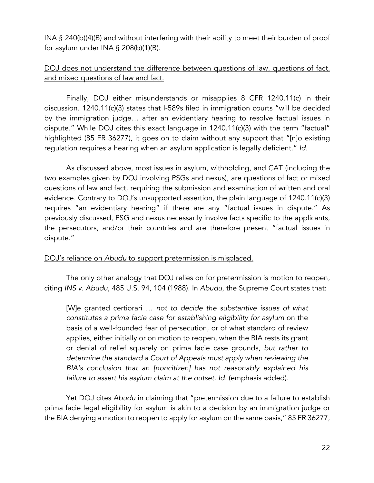INA § 240(b)(4)(B) and without interfering with their ability to meet their burden of proof for asylum under INA § 208(b)(1)(B).

# DOJ does not understand the difference between questions of law, questions of fact, and mixed questions of law and fact.

Finally, DOJ either misunderstands or misapplies 8 CFR 1240.11(c) in their discussion. 1240.11(c)(3) states that I-589s filed in immigration courts "will be decided by the immigration judge… after an evidentiary hearing to resolve factual issues in dispute." While DOJ cites this exact language in 1240.11(c)(3) with the term "factual" highlighted (85 FR 36277), it goes on to claim without any support that "[n]o existing regulation requires a hearing when an asylum application is legally deficient." *Id.*

As discussed above, most issues in asylum, withholding, and CAT (including the two examples given by DOJ involving PSGs and nexus), are questions of fact or mixed questions of law and fact, requiring the submission and examination of written and oral evidence. Contrary to DOJ's unsupported assertion, the plain language of 1240.11(c)(3) requires "an evidentiary hearing" if there are any "factual issues in dispute." As previously discussed, PSG and nexus necessarily involve facts specific to the applicants, the persecutors, and/or their countries and are therefore present "factual issues in dispute."

### DOJ's reliance on *Abudu* to support pretermission is misplaced.

The only other analogy that DOJ relies on for pretermission is motion to reopen, citing *INS v. Abudu*, 485 U.S. 94, 104 (1988). In *Abudu*, the Supreme Court states that:

[W]e granted certiorari … *not to decide the substantive issues of what constitutes a prima facie case for establishing eligibility for asylum* on the basis of a well-founded fear of persecution, or of what standard of review applies, either initially or on motion to reopen, when the BIA rests its grant or denial of relief squarely on prima facie case grounds, *but rather to determine the standard a Court of Appeals must apply when reviewing the BIA's conclusion that an [noncitizen] has not reasonably explained his failure to assert his asylum claim at the outset. Id.* (emphasis added).

Yet DOJ cites *Abudu* in claiming that "pretermission due to a failure to establish prima facie legal eligibility for asylum is akin to a decision by an immigration judge or the BIA denying a motion to reopen to apply for asylum on the same basis," 85 FR 36277,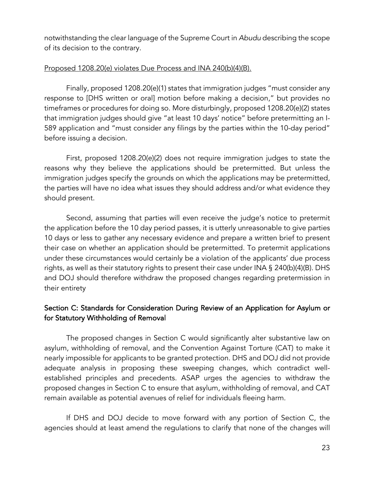notwithstanding the clear language of the Supreme Court in *Abudu* describing the scope of its decision to the contrary.

### Proposed 1208.20(e) violates Due Process and INA 240(b)(4)(B).

Finally, proposed 1208.20(e)(1) states that immigration judges "must consider any response to [DHS written or oral] motion before making a decision," but provides no timeframes or procedures for doing so. More disturbingly, proposed 1208.20(e)(2) states that immigration judges should give "at least 10 days' notice" before pretermitting an I-589 application and "must consider any filings by the parties within the 10-day period" before issuing a decision.

First, proposed 1208.20(e)(2) does not require immigration judges to state the reasons why they believe the applications should be pretermitted. But unless the immigration judges specify the grounds on which the applications may be pretermitted, the parties will have no idea what issues they should address and/or what evidence they should present.

Second, assuming that parties will even receive the judge's notice to pretermit the application before the 10 day period passes, it is utterly unreasonable to give parties 10 days or less to gather any necessary evidence and prepare a written brief to present their case on whether an application should be pretermitted. To pretermit applications under these circumstances would certainly be a violation of the applicants' due process rights, as well as their statutory rights to present their case under INA § 240(b)(4)(B). DHS and DOJ should therefore withdraw the proposed changes regarding pretermission in their entirety

## Section C: Standards for Consideration During Review of an Application for Asylum or for Statutory Withholding of Removal

The proposed changes in Section C would significantly alter substantive law on asylum, withholding of removal, and the Convention Against Torture (CAT) to make it nearly impossible for applicants to be granted protection. DHS and DOJ did not provide adequate analysis in proposing these sweeping changes, which contradict wellestablished principles and precedents. ASAP urges the agencies to withdraw the proposed changes in Section C to ensure that asylum, withholding of removal, and CAT remain available as potential avenues of relief for individuals fleeing harm.

If DHS and DOJ decide to move forward with any portion of Section C, the agencies should at least amend the regulations to clarify that none of the changes will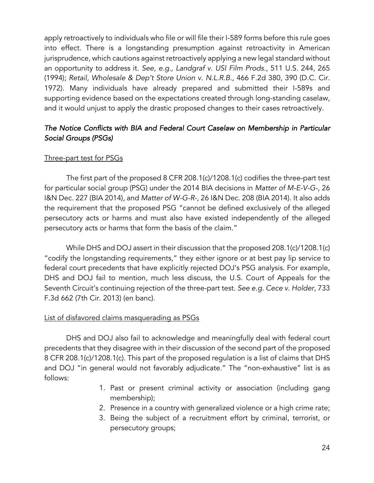apply retroactively to individuals who file or will file their I-589 forms before this rule goes into effect. There is a longstanding presumption against retroactivity in American jurisprudence, which cautions against retroactively applying a new legal standard without an opportunity to address it. *See, e.g., Landgraf v. USI Film Prods.*, 511 U.S. 244, 265 (1994); *Retail, Wholesale & Dep't Store Union v. N.L.R.B.*, 466 F.2d 380, 390 (D.C. Cir. 1972). Many individuals have already prepared and submitted their I-589s and supporting evidence based on the expectations created through long-standing caselaw, and it would unjust to apply the drastic proposed changes to their cases retroactively.

# *The Notice Conflicts with BIA and Federal Court Caselaw on Membership in Particular Social Groups (PSGs)*

## Three-part test for PSGs

The first part of the proposed 8 CFR 208.1(c)/1208.1(c) codifies the three-part test for particular social group (PSG) under the 2014 BIA decisions in *Matter of M-E-V-G-*, 26 I&N Dec. 227 (BIA 2014), and *Matter of W-G-R-*, 26 I&N Dec. 208 (BIA 2014). It also adds the requirement that the proposed PSG "cannot be defined exclusively of the alleged persecutory acts or harms and must also have existed independently of the alleged persecutory acts or harms that form the basis of the claim."

While DHS and DOJ assert in their discussion that the proposed 208.1(c)/1208.1(c) "codify the longstanding requirements," they either ignore or at best pay lip service to federal court precedents that have explicitly rejected DOJ's PSG analysis. For example, DHS and DOJ fail to mention, much less discuss, the U.S. Court of Appeals for the Seventh Circuit's continuing rejection of the three-part test. *See e.g. Cece v. Holder*, 733 F.3d 662 (7th Cir. 2013) (en banc).

### List of disfavored claims masquerading as PSGs

DHS and DOJ also fail to acknowledge and meaningfully deal with federal court precedents that they disagree with in their discussion of the second part of the proposed 8 CFR 208.1(c)/1208.1(c). This part of the proposed regulation is a list of claims that DHS and DOJ "in general would not favorably adjudicate." The "non-exhaustive" list is as follows:

- 1. Past or present criminal activity or association (including gang membership);
- 2. Presence in a country with generalized violence or a high crime rate;
- 3. Being the subject of a recruitment effort by criminal, terrorist, or persecutory groups;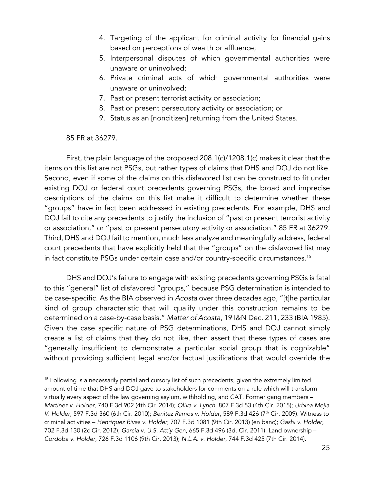- 4. Targeting of the applicant for criminal activity for financial gains based on perceptions of wealth or affluence;
- 5. Interpersonal disputes of which governmental authorities were unaware or uninvolved;
- 6. Private criminal acts of which governmental authorities were unaware or uninvolved;
- 7. Past or present terrorist activity or association;
- 8. Past or present persecutory activity or association; or
- 9. Status as an [noncitizen] returning from the United States.

85 FR at 36279.

First, the plain language of the proposed 208.1(c)/1208.1(c) makes it clear that the items on this list are not PSGs, but rather types of claims that DHS and DOJ do not like. Second, even if some of the claims on this disfavored list can be construed to fit under existing DOJ or federal court precedents governing PSGs, the broad and imprecise descriptions of the claims on this list make it difficult to determine whether these "groups" have in fact been addressed in existing precedents. For example, DHS and DOJ fail to cite any precedents to justify the inclusion of "past or present terrorist activity or association," or "past or present persecutory activity or association." 85 FR at 36279. Third, DHS and DOJ fail to mention, much less analyze and meaningfully address, federal court precedents that have explicitly held that the "groups" on the disfavored list may in fact constitute PSGs under certain case and/or country-specific circumstances.<sup>15</sup>

DHS and DOJ's failure to engage with existing precedents governing PSGs is fatal to this "general" list of disfavored "groups," because PSG determination is intended to be case-specific. As the BIA observed in *Acosta* over three decades ago, "[t]he particular kind of group characteristic that will qualify under this construction remains to be determined on a case-by-case basis." *Matter of Acosta*, 19 I&N Dec. 211, 233 (BIA 1985). Given the case specific nature of PSG determinations, DHS and DOJ cannot simply create a list of claims that they do not like, then assert that these types of cases are "generally insufficient to demonstrate a particular social group that is cognizable" without providing sufficient legal and/or factual justifications that would override the

<sup>&</sup>lt;sup>15</sup> Following is a necessarily partial and cursory list of such precedents, given the extremely limited amount of time that DHS and DOJ gave to stakeholders for comments on a rule which will transform virtually every aspect of the law governing asylum, withholding, and CAT. Former gang members – *Martinez v. Holder*, 740 F.3d 902 (4th Cir. 2014); *Oliva v. Lynch*, 807 F.3d 53 (4th Cir. 2015); *Urbina Mejia V. Holder*, 597 F.3d 360 (6th Cir. 2010); *Benitez Ramos v. Holder*, 589 F.3d 426 (7th Cir. 2009). Witness to criminal activities – *Henriquez Rivas v. Holder*, 707 F.3d 1081 (9th Cir. 2013) (en banc); *Gashi v. Holder*, 702 F.3d 130 (2d Cir. 2012); *Garcia v. U.S. Att'y Gen*, 665 F.3d 496 (3d. Cir. 2011). Land ownership – *Cordoba v. Holder*, 726 F.3d 1106 (9th Cir. 2013); *N.L.A. v. Holder*, 744 F.3d 425 (7th Cir. 2014).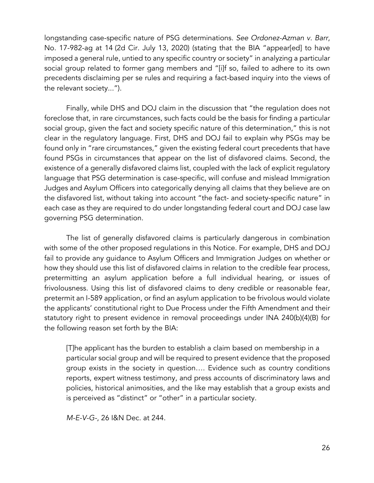longstanding case-specific nature of PSG determinations. *See Ordonez-Azman v. Barr*, No. 17-982-ag at 14 (2d Cir. July 13, 2020) (stating that the BIA "appear[ed] to have imposed a general rule, untied to any specific country or society" in analyzing a particular social group related to former gang members and "[i]f so, failed to adhere to its own precedents disclaiming per se rules and requiring a fact-based inquiry into the views of the relevant society...").

Finally, while DHS and DOJ claim in the discussion that "the regulation does not foreclose that, in rare circumstances, such facts could be the basis for finding a particular social group, given the fact and society specific nature of this determination," this is not clear in the regulatory language. First, DHS and DOJ fail to explain why PSGs may be found only in "rare circumstances," given the existing federal court precedents that have found PSGs in circumstances that appear on the list of disfavored claims. Second, the existence of a generally disfavored claims list, coupled with the lack of explicit regulatory language that PSG determination is case-specific, will confuse and mislead Immigration Judges and Asylum Officers into categorically denying all claims that they believe are on the disfavored list, without taking into account "the fact- and society-specific nature" in each case as they are required to do under longstanding federal court and DOJ case law governing PSG determination.

The list of generally disfavored claims is particularly dangerous in combination with some of the other proposed regulations in this Notice. For example, DHS and DOJ fail to provide any guidance to Asylum Officers and Immigration Judges on whether or how they should use this list of disfavored claims in relation to the credible fear process, pretermitting an asylum application before a full individual hearing, or issues of frivolousness. Using this list of disfavored claims to deny credible or reasonable fear, pretermit an I-589 application, or find an asylum application to be frivolous would violate the applicants' constitutional right to Due Process under the Fifth Amendment and their statutory right to present evidence in removal proceedings under INA 240(b)(4)(B) for the following reason set forth by the BIA:

[T]he applicant has the burden to establish a claim based on membership in a particular social group and will be required to present evidence that the proposed group exists in the society in question…. Evidence such as country conditions reports, expert witness testimony, and press accounts of discriminatory laws and policies, historical animosities, and the like may establish that a group exists and is perceived as "distinct" or "other" in a particular society.

*M-E-V-G-*, 26 I&N Dec. at 244.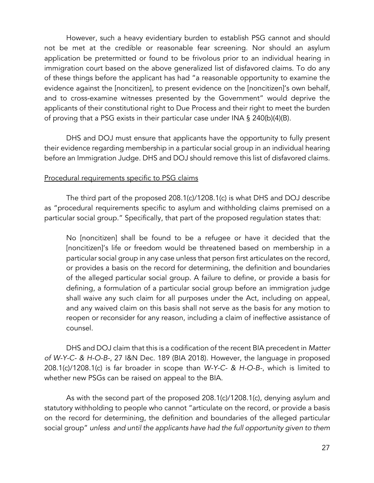However, such a heavy evidentiary burden to establish PSG cannot and should not be met at the credible or reasonable fear screening. Nor should an asylum application be pretermitted or found to be frivolous prior to an individual hearing in immigration court based on the above generalized list of disfavored claims. To do any of these things before the applicant has had "a reasonable opportunity to examine the evidence against the [noncitizen], to present evidence on the [noncitizen]'s own behalf, and to cross-examine witnesses presented by the Government" would deprive the applicants of their constitutional right to Due Process and their right to meet the burden of proving that a PSG exists in their particular case under INA § 240(b)(4)(B).

DHS and DOJ must ensure that applicants have the opportunity to fully present their evidence regarding membership in a particular social group in an individual hearing before an Immigration Judge. DHS and DOJ should remove this list of disfavored claims.

### Procedural requirements specific to PSG claims

The third part of the proposed 208.1(c)/1208.1(c) is what DHS and DOJ describe as "procedural requirements specific to asylum and withholding claims premised on a particular social group." Specifically, that part of the proposed regulation states that:

No [noncitizen] shall be found to be a refugee or have it decided that the [noncitizen]'s life or freedom would be threatened based on membership in a particular social group in any case unless that person first articulates on the record, or provides a basis on the record for determining, the definition and boundaries of the alleged particular social group. A failure to define, or provide a basis for defining, a formulation of a particular social group before an immigration judge shall waive any such claim for all purposes under the Act, including on appeal, and any waived claim on this basis shall not serve as the basis for any motion to reopen or reconsider for any reason, including a claim of ineffective assistance of counsel.

DHS and DOJ claim that this is a codification of the recent BIA precedent in *Matter of W-Y-C- & H-O-B-*, 27 I&N Dec. 189 (BIA 2018). However, the language in proposed 208.1(c)/1208.1(c) is far broader in scope than *W-Y-C- & H-O-B-*, which is limited to whether new PSGs can be raised on appeal to the BIA.

As with the second part of the proposed 208.1(c)/1208.1(c), denying asylum and statutory withholding to people who cannot "articulate on the record, or provide a basis on the record for determining, the definition and boundaries of the alleged particular social group" *unless and until the applicants have had the full opportunity given to them*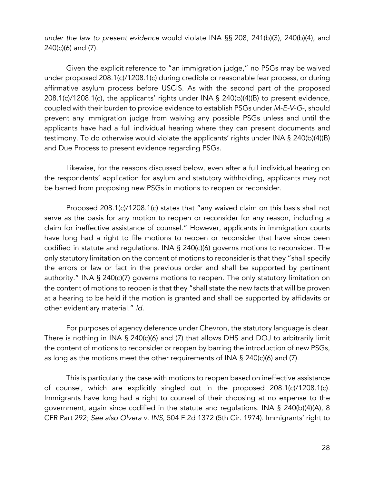*under the law to present evidence* would violate INA §§ 208, 241(b)(3), 240(b)(4), and 240(c)(6) and (7).

Given the explicit reference to "an immigration judge," no PSGs may be waived under proposed 208.1(c)/1208.1(c) during credible or reasonable fear process, or during affirmative asylum process before USCIS. As with the second part of the proposed 208.1(c)/1208.1(c), the applicants' rights under INA § 240(b)(4)(B) to present evidence, coupled with their burden to provide evidence to establish PSGs under *M-E-V-G-*, should prevent any immigration judge from waiving any possible PSGs unless and until the applicants have had a full individual hearing where they can present documents and testimony. To do otherwise would violate the applicants' rights under INA § 240(b)(4)(B) and Due Process to present evidence regarding PSGs.

Likewise, for the reasons discussed below, even after a full individual hearing on the respondents' application for asylum and statutory withholding, applicants may not be barred from proposing new PSGs in motions to reopen or reconsider.

Proposed 208.1(c)/1208.1(c) states that "any waived claim on this basis shall not serve as the basis for any motion to reopen or reconsider for any reason, including a claim for ineffective assistance of counsel." However, applicants in immigration courts have long had a right to file motions to reopen or reconsider that have since been codified in statute and regulations. INA § 240(c)(6) governs motions to reconsider. The only statutory limitation on the content of motions to reconsider is that they "shall specify the errors or law or fact in the previous order and shall be supported by pertinent authority." INA § 240(c)(7) governs motions to reopen. The only statutory limitation on the content of motions to reopen is that they "shall state the new facts that will be proven at a hearing to be held if the motion is granted and shall be supported by affidavits or other evidentiary material." *Id.*

For purposes of agency deference under Chevron, the statutory language is clear. There is nothing in INA § 240(c)(6) and (7) that allows DHS and DOJ to arbitrarily limit the content of motions to reconsider or reopen by barring the introduction of new PSGs, as long as the motions meet the other requirements of INA § 240(c)(6) and (7).

This is particularly the case with motions to reopen based on ineffective assistance of counsel, which are explicitly singled out in the proposed 208.1(c)/1208.1(c). Immigrants have long had a right to counsel of their choosing at no expense to the government, again since codified in the statute and regulations. INA § 240(b)(4)(A), 8 CFR Part 292; *See also Olvera v. INS*, 504 F.2d 1372 (5th Cir. 1974). Immigrants' right to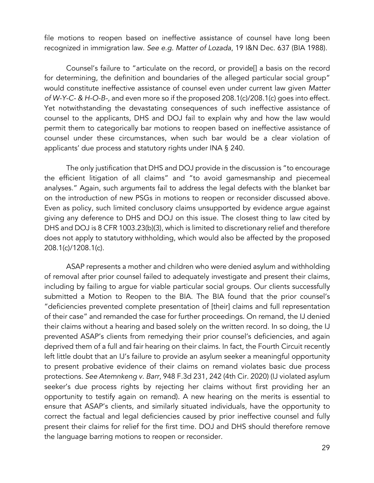file motions to reopen based on ineffective assistance of counsel have long been recognized in immigration law. *See e.g. Matter of Lozada*, 19 I&N Dec. 637 (BIA 1988).

Counsel's failure to "articulate on the record, or provide[] a basis on the record for determining, the definition and boundaries of the alleged particular social group" would constitute ineffective assistance of counsel even under current law given *Matter of W-Y-C- & H-O-B-*, and even more so if the proposed 208.1(c)/208.1(c) goes into effect. Yet notwithstanding the devastating consequences of such ineffective assistance of counsel to the applicants, DHS and DOJ fail to explain why and how the law would permit them to categorically bar motions to reopen based on ineffective assistance of counsel under these circumstances, when such bar would be a clear violation of applicants' due process and statutory rights under INA § 240.

The only justification that DHS and DOJ provide in the discussion is "to encourage the efficient litigation of all claims" and "to avoid gamesmanship and piecemeal analyses." Again, such arguments fail to address the legal defects with the blanket bar on the introduction of new PSGs in motions to reopen or reconsider discussed above. Even as policy, such limited conclusory claims unsupported by evidence argue against giving any deference to DHS and DOJ on this issue. The closest thing to law cited by DHS and DOJ is 8 CFR 1003.23(b)(3), which is limited to discretionary relief and therefore does not apply to statutory withholding, which would also be affected by the proposed 208.1(c)/1208.1(c).

ASAP represents a mother and children who were denied asylum and withholding of removal after prior counsel failed to adequately investigate and present their claims, including by failing to argue for viable particular social groups. Our clients successfully submitted a Motion to Reopen to the BIA. The BIA found that the prior counsel's "deficiencies prevented complete presentation of [their] claims and full representation of their case" and remanded the case for further proceedings. On remand, the IJ denied their claims without a hearing and based solely on the written record. In so doing, the IJ prevented ASAP's clients from remedying their prior counsel's deficiencies, and again deprived them of a full and fair hearing on their claims. In fact, the Fourth Circuit recently left little doubt that an IJ's failure to provide an asylum seeker a meaningful opportunity to present probative evidence of their claims on remand violates basic due process protections. *See Atemnkeng v. Barr*, 948 F.3d 231, 242 (4th Cir. 2020) (IJ violated asylum seeker's due process rights by rejecting her claims without first providing her an opportunity to testify again on remand). A new hearing on the merits is essential to ensure that ASAP's clients, and similarly situated individuals, have the opportunity to correct the factual and legal deficiencies caused by prior ineffective counsel and fully present their claims for relief for the first time. DOJ and DHS should therefore remove the language barring motions to reopen or reconsider.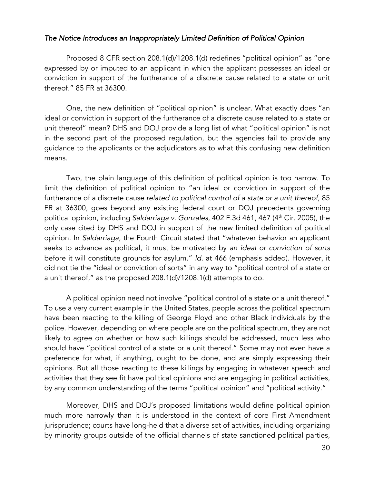### *The Notice Introduces an Inappropriately Limited Definition of Political Opinion*

Proposed 8 CFR section 208.1(d)/1208.1(d) redefines "political opinion" as "one expressed by or imputed to an applicant in which the applicant possesses an ideal or conviction in support of the furtherance of a discrete cause related to a state or unit thereof." 85 FR at 36300.

One, the new definition of "political opinion" is unclear. What exactly does "an ideal or conviction in support of the furtherance of a discrete cause related to a state or unit thereof" mean? DHS and DOJ provide a long list of what "political opinion" is not in the second part of the proposed regulation, but the agencies fail to provide any guidance to the applicants or the adjudicators as to what this confusing new definition means.

Two, the plain language of this definition of political opinion is too narrow. To limit the definition of political opinion to "an ideal or conviction in support of the furtherance of a discrete cause *related to political control of a state or a unit thereof*, 85 FR at 36300, goes beyond any existing federal court or DOJ precedents governing political opinion, including *Saldarriaga v. Gonzales*, 402 F.3d 461, 467 (4th Cir. 2005), the only case cited by DHS and DOJ in support of the new limited definition of political opinion. In *Saldarriaga*, the Fourth Circuit stated that "whatever behavior an applicant seeks to advance as political, it must be motivated by *an ideal or conviction of sorts* before it will constitute grounds for asylum." *Id.* at 466 (emphasis added). However, it did not tie the "ideal or conviction of sorts" in any way to "political control of a state or a unit thereof," as the proposed 208.1(d)/1208.1(d) attempts to do.

A political opinion need not involve "political control of a state or a unit thereof." To use a very current example in the United States, people across the political spectrum have been reacting to the killing of George Floyd and other Black individuals by the police. However, depending on where people are on the political spectrum, they are not likely to agree on whether or how such killings should be addressed, much less who should have "political control of a state or a unit thereof." Some may not even have a preference for what, if anything, ought to be done, and are simply expressing their opinions. But all those reacting to these killings by engaging in whatever speech and activities that they see fit have political opinions and are engaging in political activities, by any common understanding of the terms "political opinion" and "political activity."

Moreover, DHS and DOJ's proposed limitations would define political opinion much more narrowly than it is understood in the context of core First Amendment jurisprudence; courts have long-held that a diverse set of activities, including organizing by minority groups outside of the official channels of state sanctioned political parties,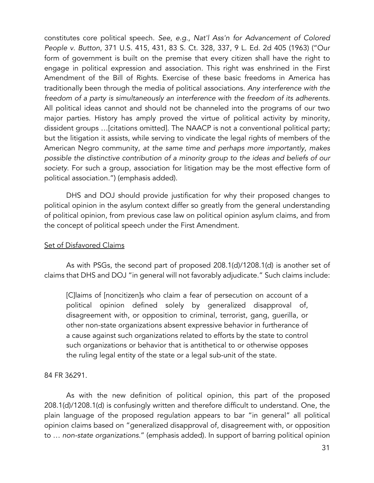constitutes core political speech. *See*, *e.g*., *Nat'l Ass'n for Advancement of Colored People v. Button*, 371 U.S. 415, 431, 83 S. Ct. 328, 337, 9 L. Ed. 2d 405 (1963) ("Our form of government is built on the premise that every citizen shall have the right to engage in political expression and association. This right was enshrined in the First Amendment of the Bill of Rights. Exercise of these basic freedoms in America has traditionally been through the media of political associations. *Any interference with the freedom of a party is simultaneously an interference with the freedom of its adherents*. All political ideas cannot and should not be channeled into the programs of our two major parties. History has amply proved the virtue of political activity by minority, dissident groups …[citations omitted]. The NAACP is not a conventional political party; but the litigation it assists, while serving to vindicate the legal rights of members of the American Negro community, *at the same time and perhaps more importantly, makes possible the distinctive contribution of a minority group to the ideas and beliefs of our society*. For such a group, association for litigation may be the most effective form of political association.") (emphasis added).

DHS and DOJ should provide justification for why their proposed changes to political opinion in the asylum context differ so greatly from the general understanding of political opinion, from previous case law on political opinion asylum claims, and from the concept of political speech under the First Amendment.

#### Set of Disfavored Claims

As with PSGs, the second part of proposed 208.1(d)/1208.1(d) is another set of claims that DHS and DOJ "in general will not favorably adjudicate." Such claims include:

[C]laims of [noncitizen]s who claim a fear of persecution on account of a political opinion defined solely by generalized disapproval of, disagreement with, or opposition to criminal, terrorist, gang, guerilla, or other non-state organizations absent expressive behavior in furtherance of a cause against such organizations related to efforts by the state to control such organizations or behavior that is antithetical to or otherwise opposes the ruling legal entity of the state or a legal sub-unit of the state.

### 84 FR 36291.

As with the new definition of political opinion, this part of the proposed 208.1(d)/1208.1(d) is confusingly written and therefore difficult to understand. One, the plain language of the proposed regulation appears to bar "in general" all political opinion claims based on "generalized disapproval of, disagreement with, or opposition to … *non-state organizations*." (emphasis added). In support of barring political opinion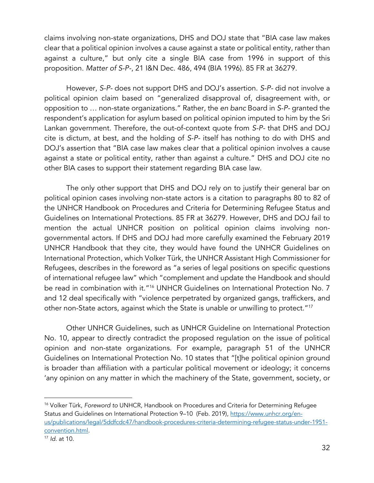claims involving non-state organizations, DHS and DOJ state that "BIA case law makes clear that a political opinion involves a cause against a state or political entity, rather than against a culture," but only cite a single BIA case from 1996 in support of this proposition. *Matter of S-P-*, 21 I&N Dec. 486, 494 (BIA 1996). 85 FR at 36279.

However, *S-P-* does not support DHS and DOJ's assertion. *S-P-* did not involve a political opinion claim based on "generalized disapproval of, disagreement with, or opposition to … non-state organizations." Rather, the *en banc* Board in *S-P-* granted the respondent's application for asylum based on political opinion imputed to him by the Sri Lankan government. Therefore, the out-of-context quote from *S-P-* that DHS and DOJ cite is dictum, at best, and the holding of *S-P-* itself has nothing to do with DHS and DOJ's assertion that "BIA case law makes clear that a political opinion involves a cause against a state or political entity, rather than against a culture." DHS and DOJ cite no other BIA cases to support their statement regarding BIA case law.

The only other support that DHS and DOJ rely on to justify their general bar on political opinion cases involving non-state actors is a citation to paragraphs 80 to 82 of the UNHCR Handbook on Procedures and Criteria for Determining Refugee Status and Guidelines on International Protections. 85 FR at 36279. However, DHS and DOJ fail to mention the actual UNHCR position on political opinion claims involving nongovernmental actors. If DHS and DOJ had more carefully examined the February 2019 UNHCR Handbook that they cite, they would have found the UNHCR Guidelines on International Protection, which Volker Türk, the UNHCR Assistant High Commissioner for Refugees, describes in the foreword as "a series of legal positions on specific questions of international refugee law" which "complement and update the Handbook and should be read in combination with it."<sup>16</sup> UNHCR Guidelines on International Protection No. 7 and 12 deal specifically with "violence perpetrated by organized gangs, traffickers, and other non-State actors, against which the State is unable or unwilling to protect."17

Other UNHCR Guidelines, such as UNHCR Guideline on International Protection No. 10, appear to directly contradict the proposed regulation on the issue of political opinion and non-state organizations. For example, paragraph 51 of the UNHCR Guidelines on International Protection No. 10 states that "[t]he political opinion ground is broader than affiliation with a particular political movement or ideology; it concerns 'any opinion on any matter in which the machinery of the State, government, society, or

<sup>16</sup> Volker Türk, *Foreword to* UNHCR, Handbook on Procedures and Criteria for Determining Refugee Status and Guidelines on International Protection 9-10 (Feb. 2019), https://www.unhcr.org/enus/publications/legal/5ddfcdc47/handbook-procedures-criteria-determining-refugee-status-under-1951 convention.html.

<sup>17</sup> *Id.* at 10.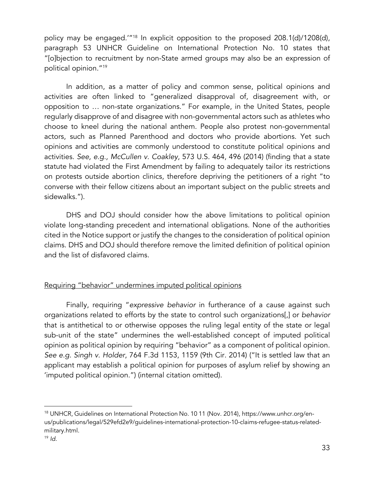policy may be engaged.'"18 In explicit opposition to the proposed 208.1(d)/1208(d), paragraph 53 UNHCR Guideline on International Protection No. 10 states that "[o]bjection to recruitment by non-State armed groups may also be an expression of political opinion."19

In addition, as a matter of policy and common sense, political opinions and activities are often linked to "generalized disapproval of, disagreement with, or opposition to … non-state organizations." For example, in the United States, people regularly disapprove of and disagree with non-governmental actors such as athletes who choose to kneel during the national anthem. People also protest non-governmental actors, such as Planned Parenthood and doctors who provide abortions. Yet such opinions and activities are commonly understood to constitute political opinions and activities. *See, e.g., McCullen v. Coakley*, 573 U.S. 464, 496 (2014) (finding that a state statute had violated the First Amendment by failing to adequately tailor its restrictions on protests outside abortion clinics, therefore depriving the petitioners of a right "to converse with their fellow citizens about an important subject on the public streets and sidewalks.").

DHS and DOJ should consider how the above limitations to political opinion violate long-standing precedent and international obligations. None of the authorities cited in the Notice support or justify the changes to the consideration of political opinion claims. DHS and DOJ should therefore remove the limited definition of political opinion and the list of disfavored claims.

### Requiring "behavior" undermines imputed political opinions

Finally, requiring "*expressive behavior* in furtherance of a cause against such organizations related to efforts by the state to control such organizations[,] or *behavior* that is antithetical to or otherwise opposes the ruling legal entity of the state or legal sub-unit of the state" undermines the well-established concept of imputed political opinion as political opinion by requiring "behavior" as a component of political opinion. *See e.g. Singh v. Holder*, 764 F.3d 1153, 1159 (9th Cir. 2014) ("It is settled law that an applicant may establish a political opinion for purposes of asylum relief by showing an 'imputed political opinion.") (internal citation omitted).

<sup>18</sup> UNHCR, Guidelines on International Protection No. 10 11 (Nov. 2014), https://www.unhcr.org/enus/publications/legal/529efd2e9/guidelines-international-protection-10-claims-refugee-status-relatedmilitary.html.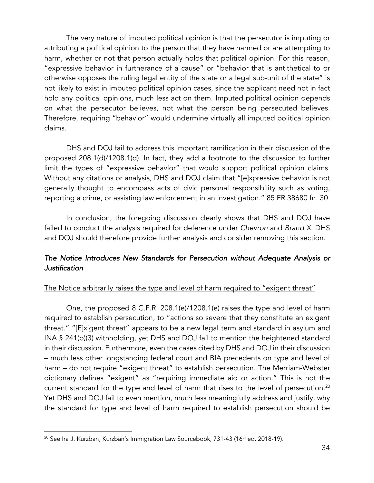The very nature of imputed political opinion is that the persecutor is imputing or attributing a political opinion to the person that they have harmed or are attempting to harm, whether or not that person actually holds that political opinion. For this reason, "expressive behavior in furtherance of a cause" or "behavior that is antithetical to or otherwise opposes the ruling legal entity of the state or a legal sub-unit of the state" is not likely to exist in imputed political opinion cases, since the applicant need not in fact hold any political opinions, much less act on them. Imputed political opinion depends on what the persecutor believes, not what the person being persecuted believes. Therefore, requiring "behavior" would undermine virtually all imputed political opinion claims.

DHS and DOJ fail to address this important ramification in their discussion of the proposed 208.1(d)/1208.1(d). In fact, they add a footnote to the discussion to further limit the types of "expressive behavior" that would support political opinion claims. Without any citations or analysis, DHS and DOJ claim that "[e]xpressive behavior is not generally thought to encompass acts of civic personal responsibility such as voting, reporting a crime, or assisting law enforcement in an investigation." 85 FR 38680 fn. 30.

In conclusion, the foregoing discussion clearly shows that DHS and DOJ have failed to conduct the analysis required for deference under *Chevron* and *Brand X*. DHS and DOJ should therefore provide further analysis and consider removing this section.

## *The Notice Introduces New Standards for Persecution without Adequate Analysis or Justification*

### The Notice arbitrarily raises the type and level of harm required to "exigent threat"

One, the proposed 8 C.F.R. 208.1(e)/1208.1(e) raises the type and level of harm required to establish persecution, to "actions so severe that they constitute an exigent threat." "[E]xigent threat" appears to be a new legal term and standard in asylum and INA § 241(b)(3) withholding, yet DHS and DOJ fail to mention the heightened standard in their discussion. Furthermore, even the cases cited by DHS and DOJ in their discussion – much less other longstanding federal court and BIA precedents on type and level of harm – do not require "exigent threat" to establish persecution. The Merriam-Webster dictionary defines "exigent" as "requiring immediate aid or action." This is not the current standard for the type and level of harm that rises to the level of persecution.<sup>20</sup> Yet DHS and DOJ fail to even mention, much less meaningfully address and justify, why the standard for type and level of harm required to establish persecution should be

 $20$  See Ira J. Kurzban, Kurzban's Immigration Law Sourcebook, 731-43 (16<sup>th</sup> ed. 2018-19).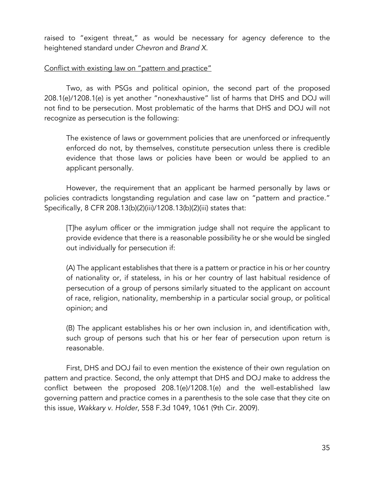raised to "exigent threat," as would be necessary for agency deference to the heightened standard under *Chevron* and *Brand X*.

#### Conflict with existing law on "pattern and practice"

Two, as with PSGs and political opinion, the second part of the proposed 208.1(e)/1208.1(e) is yet another "nonexhaustive" list of harms that DHS and DOJ will not find to be persecution. Most problematic of the harms that DHS and DOJ will not recognize as persecution is the following:

The existence of laws or government policies that are unenforced or infrequently enforced do not, by themselves, constitute persecution unless there is credible evidence that those laws or policies have been or would be applied to an applicant personally.

However, the requirement that an applicant be harmed personally by laws or policies contradicts longstanding regulation and case law on "pattern and practice." Specifically, 8 CFR 208.13(b)(2)(iii)/1208.13(b)(2)(iii) states that:

[T]he asylum officer or the immigration judge shall not require the applicant to provide evidence that there is a reasonable possibility he or she would be singled out individually for persecution if:

(A) The applicant establishes that there is a pattern or practice in his or her country of nationality or, if stateless, in his or her country of last habitual residence of persecution of a group of persons similarly situated to the applicant on account of race, religion, nationality, membership in a particular social group, or political opinion; and

(B) The applicant establishes his or her own inclusion in, and identification with, such group of persons such that his or her fear of persecution upon return is reasonable.

First, DHS and DOJ fail to even mention the existence of their own regulation on pattern and practice. Second, the only attempt that DHS and DOJ make to address the conflict between the proposed 208.1(e)/1208.1(e) and the well-established law governing pattern and practice comes in a parenthesis to the sole case that they cite on this issue, *Wakkary v. Holder*, 558 F.3d 1049, 1061 (9th Cir. 2009).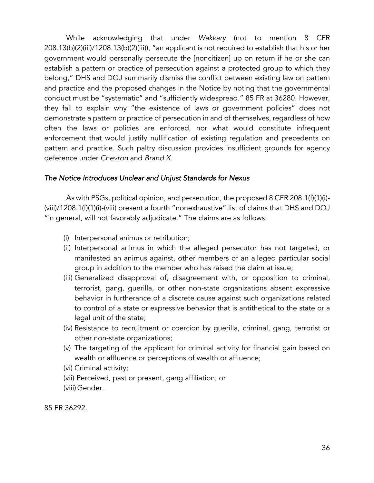While acknowledging that under *Wakkary* (not to mention 8 CFR 208.13(b)(2)(iii)/1208.13(b)(2)(iii)), "an applicant is not required to establish that his or her government would personally persecute the [noncitizen] up on return if he or she can establish a pattern or practice of persecution against a protected group to which they belong," DHS and DOJ summarily dismiss the conflict between existing law on pattern and practice and the proposed changes in the Notice by noting that the governmental conduct must be "systematic" and "sufficiently widespread." 85 FR at 36280. However, they fail to explain why "the existence of laws or government policies" does not demonstrate a pattern or practice of persecution in and of themselves, regardless of how often the laws or policies are enforced, nor what would constitute infrequent enforcement that would justify nullification of existing regulation and precedents on pattern and practice. Such paltry discussion provides insufficient grounds for agency deference under *Chevron* and *Brand X*.

#### *The Notice Introduces Unclear and Unjust Standards for Nexus*

As with PSGs, political opinion, and persecution, the proposed 8 CFR 208.1(f)(1)(i)- (viii)/1208.1(f)(1)(i)-(viii) present a fourth "nonexhaustive" list of claims that DHS and DOJ "in general, will not favorably adjudicate." The claims are as follows:

- (i) Interpersonal animus or retribution;
- (ii) Interpersonal animus in which the alleged persecutor has not targeted, or manifested an animus against, other members of an alleged particular social group in addition to the member who has raised the claim at issue;
- (iii) Generalized disapproval of, disagreement with, or opposition to criminal, terrorist, gang, guerilla, or other non-state organizations absent expressive behavior in furtherance of a discrete cause against such organizations related to control of a state or expressive behavior that is antithetical to the state or a legal unit of the state;
- (iv) Resistance to recruitment or coercion by guerilla, criminal, gang, terrorist or other non-state organizations;
- (v) The targeting of the applicant for criminal activity for financial gain based on wealth or affluence or perceptions of wealth or affluence;
- (vi) Criminal activity;
- (vii) Perceived, past or present, gang affiliation; or
- (viii)Gender.

85 FR 36292.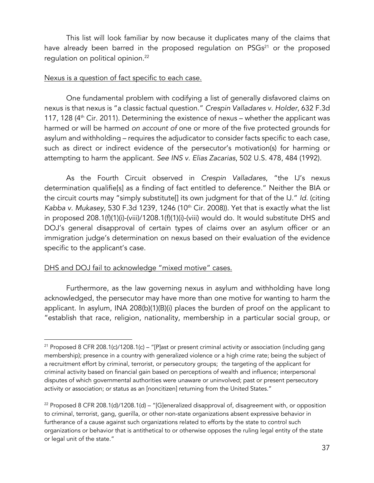This list will look familiar by now because it duplicates many of the claims that have already been barred in the proposed regulation on  $PSGs<sup>21</sup>$  or the proposed requlation on political opinion.<sup>22</sup>

#### Nexus is a question of fact specific to each case.

One fundamental problem with codifying a list of generally disfavored claims on nexus is that nexus is "a classic factual question." *Crespin Valladares v. Holder*, 632 F.3d 117, 128 ( $4<sup>th</sup>$  Cir. 2011). Determining the existence of nexus – whether the applicant was harmed or will be harmed *on account of* one or more of the five protected grounds for asylum and withholding – requires the adjudicator to consider facts specific to each case, such as direct or indirect evidence of the persecutor's motivation(s) for harming or attempting to harm the applicant. *See INS v. Elias Zacarias*, 502 U.S. 478, 484 (1992).

As the Fourth Circuit observed in *Crespin Valladares*, "the IJ's nexus determination qualifie[s] as a finding of fact entitled to deference." Neither the BIA or the circuit courts may "simply substitute[] its own judgment for that of the IJ." *Id.* (citing *Kabba v. Mukasey*, 530 F.3d 1239, 1246 (10th Cir. 2008)). Yet that is exactly what the list in proposed 208.1(f)(1)(i)-(viii)/1208.1(f)(1)(i)-(viii) would do. It would substitute DHS and DOJ's general disapproval of certain types of claims over an asylum officer or an immigration judge's determination on nexus based on their evaluation of the evidence specific to the applicant's case.

### DHS and DOJ fail to acknowledge "mixed motive" cases.

Furthermore, as the law governing nexus in asylum and withholding have long acknowledged, the persecutor may have more than one motive for wanting to harm the applicant. In asylum, INA 208(b)(1)(B)(i) places the burden of proof on the applicant to "establish that race, religion, nationality, membership in a particular social group, or

 $21$  Proposed 8 CFR 208.1(c)/1208.1(c) – "[P]ast or present criminal activity or association (including gang membership); presence in a country with generalized violence or a high crime rate; being the subject of a recruitment effort by criminal, terrorist, or persecutory groups; the targeting of the applicant for criminal activity based on financial gain based on perceptions of wealth and influence; interpersonal disputes of which governmental authorities were unaware or uninvolved; past or present persecutory activity or association; or status as an [noncitizen] returning from the United States."

<sup>&</sup>lt;sup>22</sup> Proposed 8 CFR 208.1(d)/1208.1(d) – "[G]eneralized disapproval of, disagreement with, or opposition to criminal, terrorist, gang, guerilla, or other non-state organizations absent expressive behavior in furtherance of a cause against such organizations related to efforts by the state to control such organizations or behavior that is antithetical to or otherwise opposes the ruling legal entity of the state or legal unit of the state."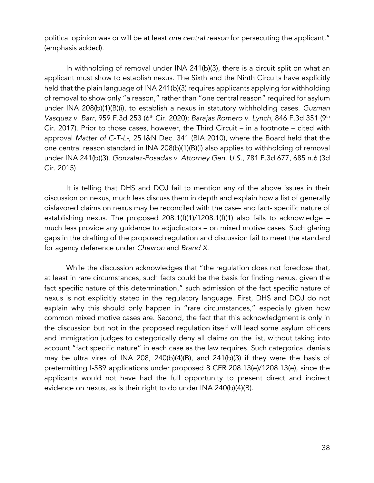political opinion was or will be at least *one central reason* for persecuting the applicant." (emphasis added).

In withholding of removal under INA 241(b)(3), there is a circuit split on what an applicant must show to establish nexus. The Sixth and the Ninth Circuits have explicitly held that the plain language of INA 241(b)(3) requires applicants applying for withholding of removal to show only "a reason," rather than "one central reason" required for asylum under INA 208(b)(1)(B)(i), to establish a nexus in statutory withholding cases. *Guzman Vasquez v. Barr*, 959 F.3d 253 (6th Cir. 2020); *Barajas Romero v. Lynch*, 846 F.3d 351 (9th Cir. 2017). Prior to those cases, however, the Third Circuit – in a footnote – cited with approval *Matter of C-T-L-*, 25 I&N Dec. 341 (BIA 2010), where the Board held that the one central reason standard in INA 208(b)(1)(B)(i) also applies to withholding of removal under INA 241(b)(3). *Gonzalez-Posadas v. Attorney Gen. U.S.*, 781 F.3d 677, 685 n.6 (3d Cir. 2015).

It is telling that DHS and DOJ fail to mention any of the above issues in their discussion on nexus, much less discuss them in depth and explain how a list of generally disfavored claims on nexus may be reconciled with the case- and fact- specific nature of establishing nexus. The proposed 208.1(f)(1)/1208.1(f)(1) also fails to acknowledge  $$ much less provide any guidance to adjudicators – on mixed motive cases. Such glaring gaps in the drafting of the proposed regulation and discussion fail to meet the standard for agency deference under *Chevron* and *Brand X*.

While the discussion acknowledges that "the regulation does not foreclose that, at least in rare circumstances, such facts could be the basis for finding nexus, given the fact specific nature of this determination," such admission of the fact specific nature of nexus is not explicitly stated in the regulatory language. First, DHS and DOJ do not explain why this should only happen in "rare circumstances," especially given how common mixed motive cases are. Second, the fact that this acknowledgment is only in the discussion but not in the proposed regulation itself will lead some asylum officers and immigration judges to categorically deny all claims on the list, without taking into account "fact specific nature" in each case as the law requires. Such categorical denials may be ultra vires of INA 208, 240(b)(4)(B), and 241(b)(3) if they were the basis of pretermitting I-589 applications under proposed 8 CFR 208.13(e)/1208.13(e), since the applicants would not have had the full opportunity to present direct and indirect evidence on nexus, as is their right to do under INA 240(b)(4)(B).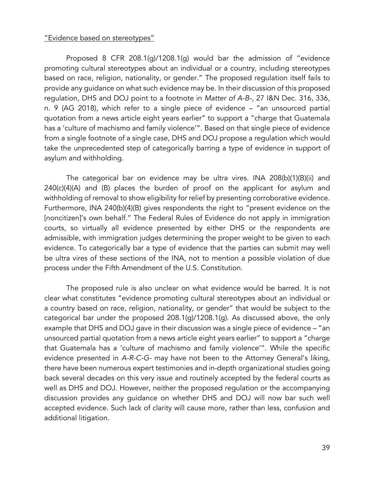#### "Evidence based on stereotypes"

Proposed 8 CFR 208.1(g)/1208.1(g) would bar the admission of "evidence promoting cultural stereotypes about an individual or a country, including stereotypes based on race, religion, nationality, or gender." The proposed regulation itself fails to provide any guidance on what such evidence may be. In their discussion of this proposed regulation, DHS and DOJ point to a footnote in *Matter of A-B-*, 27 I&N Dec. 316, 336, n. 9 (AG 2018), which refer to a single piece of evidence – "an unsourced partial quotation from a news article eight years earlier" to support a "charge that Guatemala has a 'culture of machismo and family violence'". Based on that single piece of evidence from a single footnote of a single case, DHS and DOJ propose a regulation which would take the unprecedented step of categorically barring a type of evidence in support of asylum and withholding.

The categorical bar on evidence may be ultra vires. INA 208(b)(1)(B)(ii) and 240(c)(4)(A) and (B) places the burden of proof on the applicant for asylum and withholding of removal to show eligibility for relief by presenting corroborative evidence. Furthermore, INA 240(b)(4)(B) gives respondents the right to "present evidence on the [noncitizen]'s own behalf." The Federal Rules of Evidence do not apply in immigration courts, so virtually all evidence presented by either DHS or the respondents are admissible, with immigration judges determining the proper weight to be given to each evidence. To categorically bar a type of evidence that the parties can submit may well be ultra vires of these sections of the INA, not to mention a possible violation of due process under the Fifth Amendment of the U.S. Constitution.

The proposed rule is also unclear on what evidence would be barred. It is not clear what constitutes "evidence promoting cultural stereotypes about an individual or a country based on race, religion, nationality, or gender" that would be subject to the categorical bar under the proposed 208.1(g)/1208.1(g). As discussed above, the only example that DHS and DOJ gave in their discussion was a single piece of evidence – "an unsourced partial quotation from a news article eight years earlier" to support a "charge that Guatemala has a 'culture of machismo and family violence'". While the specific evidence presented in *A-R-C-G-* may have not been to the Attorney General's liking, there have been numerous expert testimonies and in-depth organizational studies going back several decades on this very issue and routinely accepted by the federal courts as well as DHS and DOJ. However, neither the proposed regulation or the accompanying discussion provides any guidance on whether DHS and DOJ will now bar such well accepted evidence. Such lack of clarity will cause more, rather than less, confusion and additional litigation.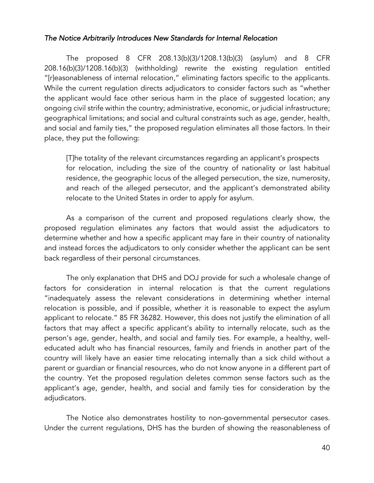### *The Notice Arbitrarily Introduces New Standards for Internal Relocation*

The proposed 8 CFR 208.13(b)(3)/1208.13(b)(3) (asylum) and 8 CFR 208.16(b)(3)/1208.16(b)(3) (withholding) rewrite the existing regulation entitled "[r]easonableness of internal relocation," eliminating factors specific to the applicants. While the current regulation directs adjudicators to consider factors such as "whether the applicant would face other serious harm in the place of suggested location; any ongoing civil strife within the country; administrative, economic, or judicial infrastructure; geographical limitations; and social and cultural constraints such as age, gender, health, and social and family ties," the proposed regulation eliminates all those factors. In their place, they put the following:

[T]he totality of the relevant circumstances regarding an applicant's prospects for relocation, including the size of the country of nationality or last habitual residence, the geographic locus of the alleged persecution, the size, numerosity, and reach of the alleged persecutor, and the applicant's demonstrated ability relocate to the United States in order to apply for asylum.

As a comparison of the current and proposed regulations clearly show, the proposed regulation eliminates any factors that would assist the adjudicators to determine whether and how a specific applicant may fare in their country of nationality and instead forces the adjudicators to only consider whether the applicant can be sent back regardless of their personal circumstances.

The only explanation that DHS and DOJ provide for such a wholesale change of factors for consideration in internal relocation is that the current regulations "inadequately assess the relevant considerations in determining whether internal relocation is possible, and if possible, whether it is reasonable to expect the asylum applicant to relocate." 85 FR 36282. However, this does not justify the elimination of all factors that may affect a specific applicant's ability to internally relocate, such as the person's age, gender, health, and social and family ties. For example, a healthy, welleducated adult who has financial resources, family and friends in another part of the country will likely have an easier time relocating internally than a sick child without a parent or guardian or financial resources, who do not know anyone in a different part of the country. Yet the proposed regulation deletes common sense factors such as the applicant's age, gender, health, and social and family ties for consideration by the adjudicators.

The Notice also demonstrates hostility to non-governmental persecutor cases. Under the current regulations, DHS has the burden of showing the reasonableness of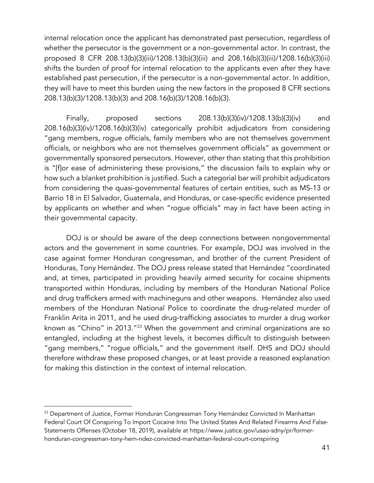internal relocation once the applicant has demonstrated past persecution, regardless of whether the persecutor is the government or a non-governmental actor. In contrast, the proposed 8 CFR 208.13(b)(3)(iii)/1208.13(b)(3)(iii) and 208.16(b)(3)(iii)/1208.16(b)(3)(iii) shifts the burden of proof for internal relocation to the applicants even after they have established past persecution, if the persecutor is a non-governmental actor. In addition, they will have to meet this burden using the new factors in the proposed 8 CFR sections 208.13(b)(3)/1208.13(b)(3) and 208.16(b)(3)/1208.16(b)(3).

Finally, proposed sections 208.13(b)(3)(iv)/1208.13(b)(3)(iv) and 208.16(b)(3)(iv)/1208.16(b)(3)(iv) categorically prohibit adjudicators from considering "gang members, rogue officials, family members who are not themselves government officials, or neighbors who are not themselves government officials" as government or governmentally sponsored persecutors. However, other than stating that this prohibition is "[f]or ease of administering these provisions," the discussion fails to explain why or how such a blanket prohibition is justified. Such a categorial bar will prohibit adjudicators from considering the quasi-governmental features of certain entities, such as MS-13 or Barrio 18 in El Salvador, Guatemala, and Honduras, or case-specific evidence presented by applicants on whether and when "rogue officials" may in fact have been acting in their governmental capacity.

DOJ is or should be aware of the deep connections between nongovernmental actors and the government in some countries. For example, DOJ was involved in the case against former Honduran congressman, and brother of the current President of Honduras, Tony Hernández. The DOJ press release stated that Hernández "coordinated and, at times, participated in providing heavily armed security for cocaine shipments transported within Honduras, including by members of the Honduran National Police and drug traffickers armed with machineguns and other weapons. Hernández also used members of the Honduran National Police to coordinate the drug-related murder of Franklin Arita in 2011, and he used drug-trafficking associates to murder a drug worker known as "Chino" in 2013."<sup>23</sup> When the government and criminal organizations are so entangled, including at the highest levels, it becomes difficult to distinguish between "gang members," "rogue officials," and the government itself. DHS and DOJ should therefore withdraw these proposed changes, or at least provide a reasoned explanation for making this distinction in the context of internal relocation.

<sup>&</sup>lt;sup>23</sup> Department of Justice, Former Honduran Congressman Tony Hernández Convicted In Manhattan Federal Court Of Conspiring To Import Cocaine Into The United States And Related Firearms And False-Statements Offenses (October 18, 2019), available at https://www.justice.gov/usao-sdny/pr/formerhonduran-congressman-tony-hern-ndez-convicted-manhattan-federal-court-conspiring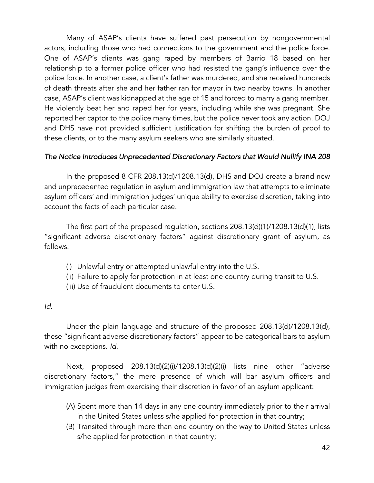Many of ASAP's clients have suffered past persecution by nongovernmental actors, including those who had connections to the government and the police force. One of ASAP's clients was gang raped by members of Barrio 18 based on her relationship to a former police officer who had resisted the gang's influence over the police force. In another case, a client's father was murdered, and she received hundreds of death threats after she and her father ran for mayor in two nearby towns. In another case, ASAP's client was kidnapped at the age of 15 and forced to marry a gang member. He violently beat her and raped her for years, including while she was pregnant. She reported her captor to the police many times, but the police never took any action. DOJ and DHS have not provided sufficient justification for shifting the burden of proof to these clients, or to the many asylum seekers who are similarly situated.

## *The Notice Introduces Unprecedented Discretionary Factors that Would Nullify INA 208*

In the proposed 8 CFR 208.13(d)/1208.13(d), DHS and DOJ create a brand new and unprecedented regulation in asylum and immigration law that attempts to eliminate asylum officers' and immigration judges' unique ability to exercise discretion, taking into account the facts of each particular case.

The first part of the proposed regulation, sections 208.13(d)(1)/1208.13(d)(1), lists "significant adverse discretionary factors" against discretionary grant of asylum, as follows:

- (i) Unlawful entry or attempted unlawful entry into the U.S.
- (ii) Failure to apply for protection in at least one country during transit to U.S.
- (iii) Use of fraudulent documents to enter U.S.

#### *Id*.

Under the plain language and structure of the proposed 208.13(d)/1208.13(d), these "significant adverse discretionary factors" appear to be categorical bars to asylum with no exceptions. *Id.* 

Next, proposed 208.13(d)(2)(i)/1208.13(d)(2)(i) lists nine other "adverse discretionary factors," the mere presence of which will bar asylum officers and immigration judges from exercising their discretion in favor of an asylum applicant:

- (A) Spent more than 14 days in any one country immediately prior to their arrival in the United States unless s/he applied for protection in that country;
- (B) Transited through more than one country on the way to United States unless s/he applied for protection in that country;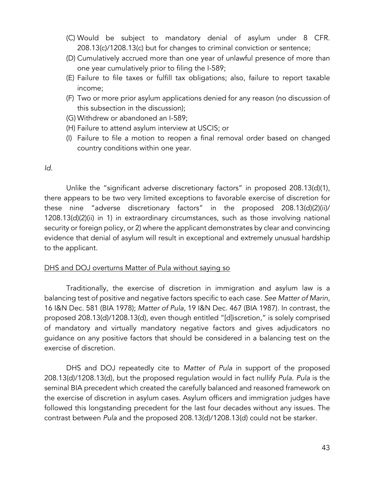- (C) Would be subject to mandatory denial of asylum under 8 CFR. 208.13(c)/1208.13(c) but for changes to criminal conviction or sentence;
- (D) Cumulatively accrued more than one year of unlawful presence of more than one year cumulatively prior to filing the I-589;
- (E) Failure to file taxes or fulfill tax obligations; also, failure to report taxable income;
- (F) Two or more prior asylum applications denied for any reason (no discussion of this subsection in the discussion);
- (G) Withdrew or abandoned an I-589;
- (H) Failure to attend asylum interview at USCIS; or
- (I) Failure to file a motion to reopen a final removal order based on changed country conditions within one year.

*Id*.

Unlike the "significant adverse discretionary factors" in proposed 208.13(d)(1), there appears to be two very limited exceptions to favorable exercise of discretion for these nine "adverse discretionary factors" in the proposed 208.13(d)(2)(ii)/ 1208.13(d)(2)(ii) in 1) in extraordinary circumstances, such as those involving national security or foreign policy, or 2) where the applicant demonstrates by clear and convincing evidence that denial of asylum will result in exceptional and extremely unusual hardship to the applicant.

#### DHS and DOJ overturns Matter of Pula without saying so

Traditionally, the exercise of discretion in immigration and asylum law is a balancing test of positive and negative factors specific to each case. *See Matter of Marin*, 16 I&N Dec. 581 (BIA 1978); *Matter of Pula*, 19 I&N Dec. 467 (BIA 1987). In contrast, the proposed 208.13(d)/1208.13(d), even though entitled "[d]iscretion," is solely comprised of mandatory and virtually mandatory negative factors and gives adjudicators no guidance on any positive factors that should be considered in a balancing test on the exercise of discretion.

DHS and DOJ repeatedly cite to *Matter of Pula* in support of the proposed 208.13(d)/1208.13(d), but the proposed regulation would in fact nullify *Pula*. *Pula* is the seminal BIA precedent which created the carefully balanced and reasoned framework on the exercise of discretion in asylum cases. Asylum officers and immigration judges have followed this longstanding precedent for the last four decades without any issues. The contrast between *Pula* and the proposed 208.13(d)/1208.13(d) could not be starker.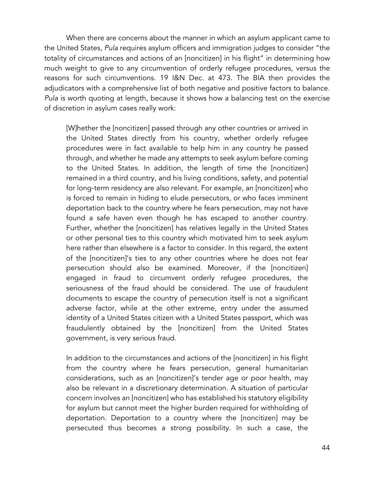When there are concerns about the manner in which an asylum applicant came to the United States, *Pula* requires asylum officers and immigration judges to consider "the totality of circumstances and actions of an [noncitizen] in his flight" in determining how much weight to give to any circumvention of orderly refugee procedures, versus the reasons for such circumventions. 19 I&N Dec. at 473. The BIA then provides the adjudicators with a comprehensive list of both negative and positive factors to balance. *Pula* is worth quoting at length, because it shows how a balancing test on the exercise of discretion in asylum cases really work:

[W]hether the [noncitizen] passed through any other countries or arrived in the United States directly from his country, whether orderly refugee procedures were in fact available to help him in any country he passed through, and whether he made any attempts to seek asylum before coming to the United States. In addition, the length of time the [noncitizen] remained in a third country, and his living conditions, safety, and potential for long-term residency are also relevant. For example, an [noncitizen] who is forced to remain in hiding to elude persecutors, or who faces imminent deportation back to the country where he fears persecution, may not have found a safe haven even though he has escaped to another country. Further, whether the [noncitizen] has relatives legally in the United States or other personal ties to this country which motivated him to seek asylum here rather than elsewhere is a factor to consider. In this regard, the extent of the [noncitizen]'s ties to any other countries where he does not fear persecution should also be examined. Moreover, if the [noncitizen] engaged in fraud to circumvent orderly refugee procedures, the seriousness of the fraud should be considered. The use of fraudulent documents to escape the country of persecution itself is not a significant adverse factor, while at the other extreme, entry under the assumed identity of a United States citizen with a United States passport, which was fraudulently obtained by the [noncitizen] from the United States government, is very serious fraud.

In addition to the circumstances and actions of the [noncitizen] in his flight from the country where he fears persecution, general humanitarian considerations, such as an [noncitizen]'s tender age or poor health, may also be relevant in a discretionary determination. A situation of particular concern involves an [noncitizen] who has established his statutory eligibility for asylum but cannot meet the higher burden required for withholding of deportation. Deportation to a country where the [noncitizen] may be persecuted thus becomes a strong possibility. In such a case, the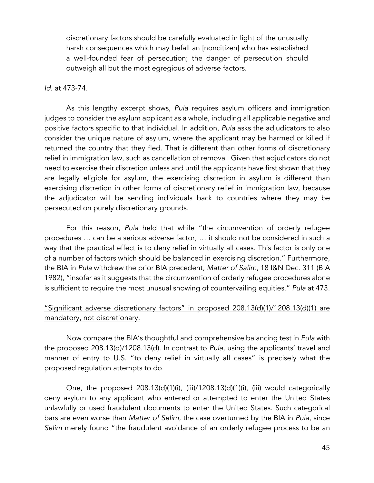discretionary factors should be carefully evaluated in light of the unusually harsh consequences which may befall an [noncitizen] who has established a well-founded fear of persecution; the danger of persecution should outweigh all but the most egregious of adverse factors.

#### *Id.* at 473-74.

As this lengthy excerpt shows, *Pula* requires asylum officers and immigration judges to consider the asylum applicant as a whole, including all applicable negative and positive factors specific to that individual. In addition, *Pula* asks the adjudicators to also consider the unique nature of asylum, where the applicant may be harmed or killed if returned the country that they fled. That is different than other forms of discretionary relief in immigration law, such as cancellation of removal. Given that adjudicators do not need to exercise their discretion unless and until the applicants have first shown that they are legally eligible for asylum, the exercising discretion in asylum is different than exercising discretion in other forms of discretionary relief in immigration law, because the adjudicator will be sending individuals back to countries where they may be persecuted on purely discretionary grounds.

For this reason, *Pula* held that while "the circumvention of orderly refugee procedures … can be a serious adverse factor, … it should not be considered in such a way that the practical effect is to deny relief in virtually all cases. This factor is only one of a number of factors which should be balanced in exercising discretion." Furthermore, the BIA in *Pula* withdrew the prior BIA precedent, *Matter of Salim*, 18 I&N Dec. 311 (BIA 1982), "insofar as it suggests that the circumvention of orderly refugee procedures alone is sufficient to require the most unusual showing of countervailing equities." *Pula* at 473.

## "Significant adverse discretionary factors" in proposed 208.13(d)(1)/1208.13(d)(1) are mandatory, not discretionary.

Now compare the BIA's thoughtful and comprehensive balancing test in *Pula* with the proposed 208.13(d)/1208.13(d). In contrast to *Pula*, using the applicants' travel and manner of entry to U.S. "to deny relief in virtually all cases" is precisely what the proposed regulation attempts to do.

One, the proposed 208.13(d)(1)(i), (iii)/1208.13(d)(1)(i), (iii) would categorically deny asylum to any applicant who entered or attempted to enter the United States unlawfully or used fraudulent documents to enter the United States. Such categorical bars are even worse than *Matter of Selim*, the case overturned by the BIA in *Pula*, since *Selim* merely found "the fraudulent avoidance of an orderly refugee process to be an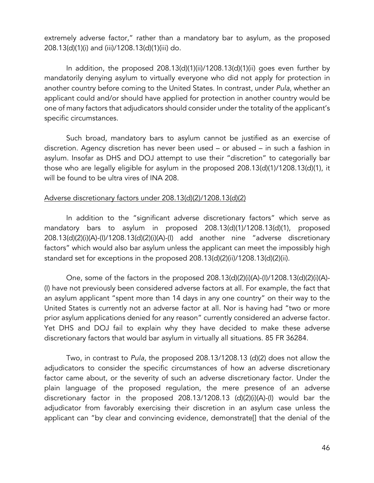extremely adverse factor," rather than a mandatory bar to asylum, as the proposed 208.13(d)(1)(i) and (iii)/1208.13(d)(1)(iii) do.

In addition, the proposed 208.13(d)(1)(ii)/1208.13(d)(1)(ii) goes even further by mandatorily denying asylum to virtually everyone who did not apply for protection in another country before coming to the United States. In contrast, under *Pula*, whether an applicant could and/or should have applied for protection in another country would be one of many factors that adjudicators should consider under the totality of the applicant's specific circumstances.

Such broad, mandatory bars to asylum cannot be justified as an exercise of discretion. Agency discretion has never been used – or abused – in such a fashion in asylum. Insofar as DHS and DOJ attempt to use their "discretion" to categorially bar those who are legally eligible for asylum in the proposed 208.13(d)(1)/1208.13(d)(1), it will be found to be ultra vires of INA 208.

#### Adverse discretionary factors under 208.13(d)(2)/1208.13(d)(2)

In addition to the "significant adverse discretionary factors" which serve as mandatory bars to asylum in proposed 208.13(d)(1)/1208.13(d)(1), proposed 208.13(d)(2)(i)(A)-(I)/1208.13(d)(2)(i)(A)-(I) add another nine "adverse discretionary factors" which would also bar asylum unless the applicant can meet the impossibly high standard set for exceptions in the proposed 208.13(d)(2)(ii)/1208.13(d)(2)(ii).

One, some of the factors in the proposed 208.13(d)(2)(i)(A)-(I)/1208.13(d)(2)(i)(A)- (I) have not previously been considered adverse factors at all. For example, the fact that an asylum applicant "spent more than 14 days in any one country" on their way to the United States is currently not an adverse factor at all. Nor is having had "two or more prior asylum applications denied for any reason" currently considered an adverse factor. Yet DHS and DOJ fail to explain why they have decided to make these adverse discretionary factors that would bar asylum in virtually all situations. 85 FR 36284.

Two, in contrast to *Pula*, the proposed 208.13/1208.13 (d)(2) does not allow the adjudicators to consider the specific circumstances of how an adverse discretionary factor came about, or the severity of such an adverse discretionary factor. Under the plain language of the proposed regulation, the mere presence of an adverse discretionary factor in the proposed 208.13/1208.13 (d)(2)(i)(A)-(I) would bar the adjudicator from favorably exercising their discretion in an asylum case unless the applicant can "by clear and convincing evidence, demonstrate[] that the denial of the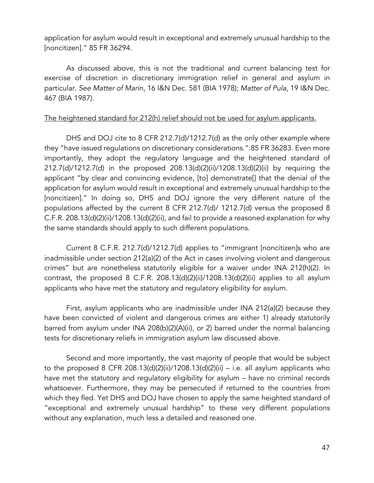application for asylum would result in exceptional and extremely unusual hardship to the [noncitizen]." 85 FR 36294.

As discussed above, this is not the traditional and current balancing test for exercise of discretion in discretionary immigration relief in general and asylum in particular. *See Matter of Marin*, 16 I&N Dec. 581 (BIA 1978); *Matter of Pula*, 19 I&N Dec. 467 (BIA 1987).

### The heightened standard for 212(h) relief should not be used for asylum applicants.

DHS and DOJ cite to 8 CFR 212.7(d)/1212.7(d) as the only other example where they "have issued regulations on discretionary considerations.".85 FR 36283. Even more importantly, they adopt the regulatory language and the heightened standard of 212.7(d)/1212.7(d) in the proposed 208.13(d)(2)(ii)/1208.13(d)(2)(ii) by requiring the applicant "by clear and convincing evidence, [to] demonstrate[] that the denial of the application for asylum would result in exceptional and extremely unusual hardship to the [noncitizen]." In doing so, DHS and DOJ ignore the very different nature of the populations affected by the current 8 CFR 212.7(d)/ 1212.7(d) versus the proposed 8 C.F.R. 208.13(d)(2)(ii)/1208.13(d)(2)(ii), and fail to provide a reasoned explanation for why the same standards should apply to such different populations.

Current 8 C.F.R. 212.7(d)/1212.7(d) applies to "immigrant [noncitizen]s who are inadmissible under section 212(a)(2) of the Act in cases involving violent and dangerous crimes" but are nonetheless statutorily eligible for a waiver under INA 212(h)(2). In contrast, the proposed 8 C.F.R. 208.13(d)(2)(ii)/1208.13(d)(2)(ii) applies to all asylum applicants who have met the statutory and regulatory eligibility for asylum.

First, asylum applicants who are inadmissible under INA 212(a)(2) because they have been convicted of violent and dangerous crimes are either 1) already statutorily barred from asylum under INA 208(b)(2)(A)(ii), or 2) barred under the normal balancing tests for discretionary reliefs in immigration asylum law discussed above.

Second and more importantly, the vast majority of people that would be subject to the proposed 8 CFR 208.13(d)(2)(ii)/1208.13(d)(2)(ii) – i.e. all asylum applicants who have met the statutory and regulatory eligibility for asylum – have no criminal records whatsoever. Furthermore, they may be persecuted if returned to the countries from which they fled. Yet DHS and DOJ have chosen to apply the same heighted standard of "exceptional and extremely unusual hardship" to these very different populations without any explanation, much less a detailed and reasoned one.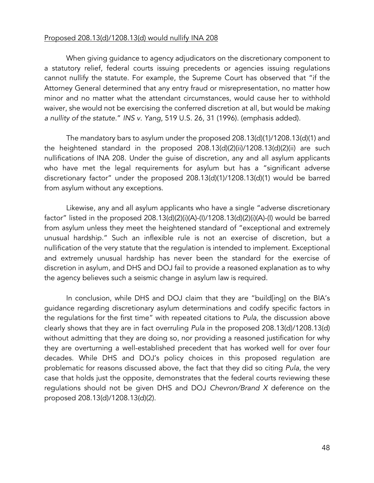#### Proposed 208.13(d)/1208.13(d) would nullify INA 208

When giving guidance to agency adjudicators on the discretionary component to a statutory relief, federal courts issuing precedents or agencies issuing regulations cannot nullify the statute. For example, the Supreme Court has observed that "if the Attorney General determined that any entry fraud or misrepresentation, no matter how minor and no matter what the attendant circumstances, would cause her to withhold waiver, she would not be exercising the conferred discretion at all, but would be *making a nullity of the statute*." *INS v. Yang*, 519 U.S. 26, 31 (1996). (emphasis added).

The mandatory bars to asylum under the proposed 208.13(d)(1)/1208.13(d)(1) and the heightened standard in the proposed 208.13(d)(2)(ii)/1208.13(d)(2)(ii) are such nullifications of INA 208. Under the guise of discretion, any and all asylum applicants who have met the legal requirements for asylum but has a "significant adverse discretionary factor" under the proposed 208.13(d)(1)/1208.13(d)(1) would be barred from asylum without any exceptions.

Likewise, any and all asylum applicants who have a single "adverse discretionary factor" listed in the proposed 208.13(d)(2)(i)(A)-(I)/1208.13(d)(2)(i)(A)-(I) would be barred from asylum unless they meet the heightened standard of "exceptional and extremely unusual hardship." Such an inflexible rule is not an exercise of discretion, but a nullification of the very statute that the regulation is intended to implement. Exceptional and extremely unusual hardship has never been the standard for the exercise of discretion in asylum, and DHS and DOJ fail to provide a reasoned explanation as to why the agency believes such a seismic change in asylum law is required.

In conclusion, while DHS and DOJ claim that they are "build[ing] on the BIA's guidance regarding discretionary asylum determinations and codify specific factors in the regulations for the first time" with repeated citations to *Pula*, the discussion above clearly shows that they are in fact overruling *Pula* in the proposed 208.13(d)/1208.13(d) without admitting that they are doing so, nor providing a reasoned justification for why they are overturning a well-established precedent that has worked well for over four decades. While DHS and DOJ's policy choices in this proposed regulation are problematic for reasons discussed above, the fact that they did so citing *Pula*, the very case that holds just the opposite, demonstrates that the federal courts reviewing these regulations should not be given DHS and DOJ *Chevron/Brand X* deference on the proposed 208.13(d)/1208.13(d)(2).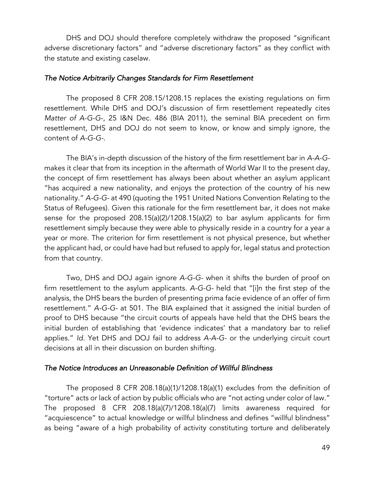DHS and DOJ should therefore completely withdraw the proposed "significant adverse discretionary factors" and "adverse discretionary factors" as they conflict with the statute and existing caselaw.

#### *The Notice Arbitrarily Changes Standards for Firm Resettlement*

The proposed 8 CFR 208.15/1208.15 replaces the existing regulations on firm resettlement. While DHS and DOJ's discussion of firm resettlement repeatedly cites *Matter of A-G-G-*, 25 I&N Dec. 486 (BIA 2011), the seminal BIA precedent on firm resettlement, DHS and DOJ do not seem to know, or know and simply ignore, the content of *A-G-G-*.

The BIA's in-depth discussion of the history of the firm resettlement bar in *A-A-G*makes it clear that from its inception in the aftermath of World War II to the present day, the concept of firm resettlement has always been about whether an asylum applicant "has acquired a new nationality, and enjoys the protection of the country of his new nationality." *A-G-G-* at 490 (quoting the 1951 United Nations Convention Relating to the Status of Refugees). Given this rationale for the firm resettlement bar, it does not make sense for the proposed 208.15(a)(2)/1208.15(a)(2) to bar asylum applicants for firm resettlement simply because they were able to physically reside in a country for a year a year or more. The criterion for firm resettlement is not physical presence, but whether the applicant had, or could have had but refused to apply for, legal status and protection from that country.

Two, DHS and DOJ again ignore *A-G-G-* when it shifts the burden of proof on firm resettlement to the asylum applicants. *A-G-G-* held that "[i]n the first step of the analysis, the DHS bears the burden of presenting prima facie evidence of an offer of firm resettlement." *A-G-G-* at 501. The BIA explained that it assigned the initial burden of proof to DHS because "the circuit courts of appeals have held that the DHS bears the initial burden of establishing that 'evidence indicates' that a mandatory bar to relief applies." *Id.* Yet DHS and DOJ fail to address *A-A-G-* or the underlying circuit court decisions at all in their discussion on burden shifting.

#### *The Notice Introduces an Unreasonable Definition of Willful Blindness*

The proposed 8 CFR 208.18(a)(1)/1208.18(a)(1) excludes from the definition of "torture" acts or lack of action by public officials who are "not acting under color of law." The proposed 8 CFR 208.18(a)(7)/1208.18(a)(7) limits awareness required for "acquiescence" to actual knowledge or willful blindness and defines "willful blindness" as being "aware of a high probability of activity constituting torture and deliberately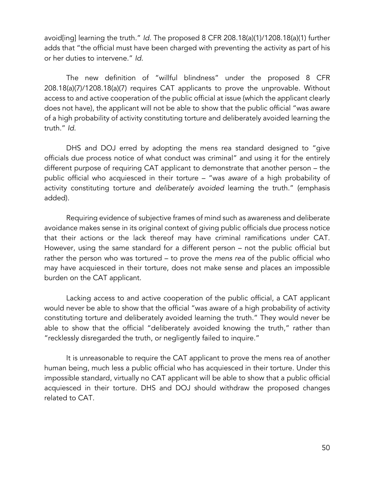avoid[ing] learning the truth." *Id.* The proposed 8 CFR 208.18(a)(1)/1208.18(a)(1) further adds that "the official must have been charged with preventing the activity as part of his or her duties to intervene." *Id.*

The new definition of "willful blindness" under the proposed 8 CFR 208.18(a)(7)/1208.18(a)(7) requires CAT applicants to prove the unprovable. Without access to and active cooperation of the public official at issue (which the applicant clearly does not have), the applicant will not be able to show that the public official "was aware of a high probability of activity constituting torture and deliberately avoided learning the truth." *Id.*

DHS and DOJ erred by adopting the mens rea standard designed to "give officials due process notice of what conduct was criminal" and using it for the entirely different purpose of requiring CAT applicant to demonstrate that another person – the public official who acquiesced in their torture – "was *aware* of a high probability of activity constituting torture and *deliberately avoided* learning the truth." (emphasis added).

Requiring evidence of subjective frames of mind such as awareness and deliberate avoidance makes sense in its original context of giving public officials due process notice that their actions or the lack thereof may have criminal ramifications under CAT. However, using the same standard for a different person – not the public official but rather the person who was tortured – to prove the *mens rea* of the public official who may have acquiesced in their torture, does not make sense and places an impossible burden on the CAT applicant.

Lacking access to and active cooperation of the public official, a CAT applicant would never be able to show that the official "was aware of a high probability of activity constituting torture and deliberately avoided learning the truth." They would never be able to show that the official "deliberately avoided knowing the truth," rather than "recklessly disregarded the truth, or negligently failed to inquire."

It is unreasonable to require the CAT applicant to prove the mens rea of another human being, much less a public official who has acquiesced in their torture. Under this impossible standard, virtually no CAT applicant will be able to show that a public official acquiesced in their torture. DHS and DOJ should withdraw the proposed changes related to CAT.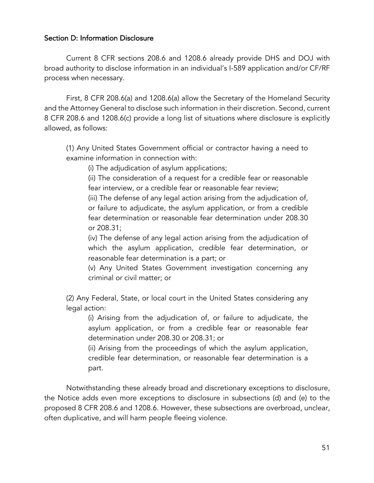### Section D: Information Disclosure

Current 8 CFR sections 208.6 and 1208.6 already provide DHS and DOJ with broad authority to disclose information in an individual's I-589 application and/or CF/RF process when necessary.

First, 8 CFR 208.6(a) and 1208.6(a) allow the Secretary of the Homeland Security and the Attorney General to disclose such information in their discretion. Second, current 8 CFR 208.6 and 1208.6(c) provide a long list of situations where disclosure is explicitly allowed, as follows:

(1) Any United States Government official or contractor having a need to examine information in connection with:

(i) The adjudication of asylum applications;

(ii) The consideration of a request for a credible fear or reasonable fear interview, or a credible fear or reasonable fear review;

(iii) The defense of any legal action arising from the adjudication of, or failure to adjudicate, the asylum application, or from a credible fear determination or reasonable fear determination under 208.30 or 208.31;

(iv) The defense of any legal action arising from the adjudication of which the asylum application, credible fear determination, or reasonable fear determination is a part; or

(v) Any United States Government investigation concerning any criminal or civil matter; or

(2) Any Federal, State, or local court in the United States considering any legal action:

(i) Arising from the adjudication of, or failure to adjudicate, the asylum application, or from a credible fear or reasonable fear determination under 208.30 or 208.31; or

(ii) Arising from the proceedings of which the asylum application, credible fear determination, or reasonable fear determination is a part.

Notwithstanding these already broad and discretionary exceptions to disclosure, the Notice adds even more exceptions to disclosure in subsections (d) and (e) to the proposed 8 CFR 208.6 and 1208.6. However, these subsections are overbroad, unclear, often duplicative, and will harm people fleeing violence.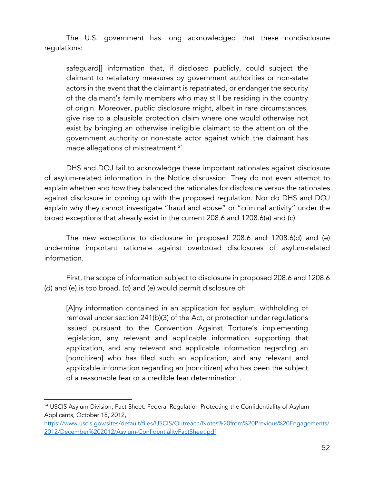The U.S. government has long acknowledged that these nondisclosure regulations:

safeguard[] information that, if disclosed publicly, could subject the claimant to retaliatory measures by government authorities or non-state actors in the event that the claimant is repatriated, or endanger the security of the claimant's family members who may still be residing in the country of origin. Moreover, public disclosure might, albeit in rare circumstances, give rise to a plausible protection claim where one would otherwise not exist by bringing an otherwise ineligible claimant to the attention of the government authority or non-state actor against which the claimant has made allegations of mistreatment.<sup>24</sup>

DHS and DOJ fail to acknowledge these important rationales against disclosure of asylum-related information in the Notice discussion. They do not even attempt to explain whether and how they balanced the rationales for disclosure versus the rationales against disclosure in coming up with the proposed regulation. Nor do DHS and DOJ explain why they cannot investigate "fraud and abuse" or "criminal activity" under the broad exceptions that already exist in the current 208.6 and 1208.6(a) and (c).

The new exceptions to disclosure in proposed 208.6 and 1208.6(d) and (e) undermine important rationale against overbroad disclosures of asylum-related information.

First, the scope of information subject to disclosure in proposed 208.6 and 1208.6 (d) and (e) is too broad. (d) and (e) would permit disclosure of:

[A]ny information contained in an application for asylum, withholding of removal under section 241(b)(3) of the Act, or protection under regulations issued pursuant to the Convention Against Torture's implementing legislation, any relevant and applicable information supporting that application, and any relevant and applicable information regarding an [noncitizen] who has filed such an application, and any relevant and applicable information regarding an [noncitizen] who has been the subject of a reasonable fear or a credible fear determination…

<sup>&</sup>lt;sup>24</sup> USCIS Asylum Division, Fact Sheet: Federal Regulation Protecting the Confidentiality of Asylum Applicants, October 18, 2012,

https://www.uscis.gov/sites/default/files/USCIS/Outreach/Notes%20from%20Previous%20Engagements/ 2012/December%202012/Asylum-ConfidentialityFactSheet.pdf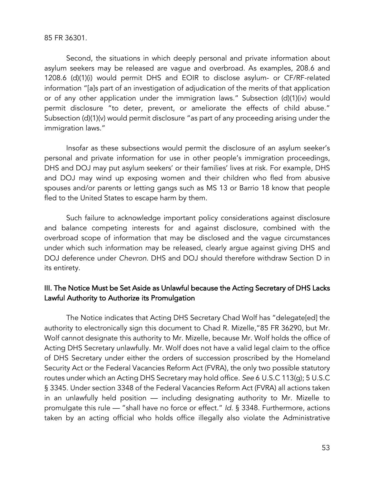85 FR 36301.

Second, the situations in which deeply personal and private information about asylum seekers may be released are vague and overbroad. As examples, 208.6 and 1208.6 (d)(1)(i) would permit DHS and EOIR to disclose asylum- or CF/RF-related information "[a]s part of an investigation of adjudication of the merits of that application or of any other application under the immigration laws." Subsection (d)(1)(iv) would permit disclosure "to deter, prevent, or ameliorate the effects of child abuse." Subsection (d)(1)(v) would permit disclosure "as part of any proceeding arising under the immigration laws."

Insofar as these subsections would permit the disclosure of an asylum seeker's personal and private information for use in other people's immigration proceedings, DHS and DOJ may put asylum seekers' or their families' lives at risk. For example, DHS and DOJ may wind up exposing women and their children who fled from abusive spouses and/or parents or letting gangs such as MS 13 or Barrio 18 know that people fled to the United States to escape harm by them.

Such failure to acknowledge important policy considerations against disclosure and balance competing interests for and against disclosure, combined with the overbroad scope of information that may be disclosed and the vague circumstances under which such information may be released, clearly argue against giving DHS and DOJ deference under *Chevron*. DHS and DOJ should therefore withdraw Section D in its entirety.

## III. The Notice Must be Set Aside as Unlawful because the Acting Secretary of DHS Lacks Lawful Authority to Authorize its Promulgation

The Notice indicates that Acting DHS Secretary Chad Wolf has "delegate[ed] the authority to electronically sign this document to Chad R. Mizelle,"85 FR 36290, but Mr. Wolf cannot designate this authority to Mr. Mizelle, because Mr. Wolf holds the office of Acting DHS Secretary unlawfully. Mr. Wolf does not have a valid legal claim to the office of DHS Secretary under either the orders of succession proscribed by the Homeland Security Act or the Federal Vacancies Reform Act (FVRA), the only two possible statutory routes under which an Acting DHS Secretary may hold office. *See* 6 U.S.C 113(g); 5 U.S.C § 3345. Under section 3348 of the Federal Vacancies Reform Act (FVRA) all actions taken in an unlawfully held position — including designating authority to Mr. Mizelle to promulgate this rule — "shall have no force or effect." *Id*. § 3348. Furthermore, actions taken by an acting official who holds office illegally also violate the Administrative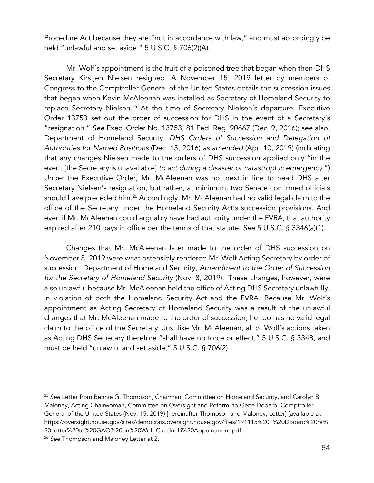Procedure Act because they are "not in accordance with law," and must accordingly be held "unlawful and set aside." 5 U.S.C. § 706(2)(A).

Mr. Wolf's appointment is the fruit of a poisoned tree that began when then-DHS Secretary Kirstjen Nielsen resigned. A November 15, 2019 letter by members of Congress to the Comptroller General of the United States details the succession issues that began when Kevin McAleenan was installed as Secretary of Homeland Security to replace Secretary Nielsen.<sup>25</sup> At the time of Secretary Nielsen's departure, Executive Order 13753 set out the order of succession for DHS in the event of a Secretary's "resignation." *See* Exec. Order No. 13753, 81 Fed. Reg. 90667 (Dec. 9, 2016); see also, Department of Homeland Security, *DHS Orders of Succession and Delegation of Authorities for Named Positions* (Dec. 15, 2016) *as amended* (Apr. 10, 2019) (indicating that any changes Nielsen made to the orders of DHS succession applied only "in the event [the Secretary is unavailable] *to act during a disaster or catastrophic emergency*.") Under the Executive Order, Mr. McAleenan was not next in line to head DHS after Secretary Nielsen's resignation, but rather, at minimum, two Senate confirmed officials should have preceded him.<sup>26</sup> Accordingly, Mr. McAleenan had no valid legal claim to the office of the Secretary under the Homeland Security Act's succession provisions. And even if Mr. McAleenan could arguably have had authority under the FVRA, that authority expired after 210 days in office per the terms of that statute. *See* 5 U.S.C. § 3346(a)(1).

Changes that Mr. McAleenan later made to the order of DHS succession on November 8, 2019 were what ostensibly rendered Mr. Wolf Acting Secretary by order of succession. Department of Homeland Security, *Amendment to the Order of Succession for the Secretary of Homeland Security* (Nov. 8, 2019). These changes, however, were also unlawful because Mr. McAleenan held the office of Acting DHS Secretary unlawfully, in violation of both the Homeland Security Act and the FVRA. Because Mr. Wolf's appointment as Acting Secretary of Homeland Security was a result of the unlawful changes that Mr. McAleenan made to the order of succession, he too has no valid legal claim to the office of the Secretary. Just like Mr. McAleenan, all of Wolf's actions taken as Acting DHS Secretary therefore "shall have no force or effect," 5 U.S.C. § 3348, and must be held "unlawful and set aside," 5 U.S.C. § 706(2).

<sup>25</sup> *See* Letter from Bennie G. Thompson, Chairman, Committee on Homeland Security, and Carolyn B. Maloney, Acting Chairwoman, Committee on Oversight and Reform, to Gene Dodaro, Comptroller General of the United States (Nov. 15, 2019) [hereinafter Thompson and Maloney, Letter] [available at https://oversight.house.gov/sites/democrats.oversight.house.gov/files/191115%20T%20Dodaro%20re% 20Letter%20to%20GAO%20on%20Wolf-Cuccinelli%20Appointment.pdf].

<sup>26</sup> *See* Thompson and Maloney Letter at 2.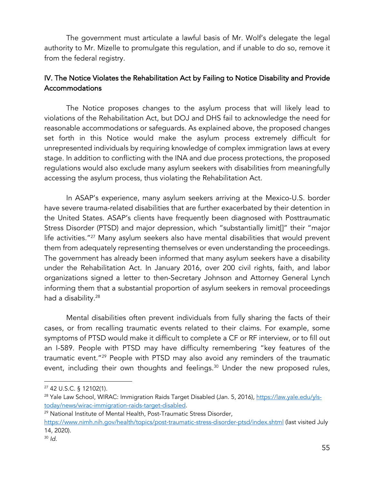The government must articulate a lawful basis of Mr. Wolf's delegate the legal authority to Mr. Mizelle to promulgate this regulation, and if unable to do so, remove it from the federal registry.

# IV. The Notice Violates the Rehabilitation Act by Failing to Notice Disability and Provide Accommodations

The Notice proposes changes to the asylum process that will likely lead to violations of the Rehabilitation Act, but DOJ and DHS fail to acknowledge the need for reasonable accommodations or safeguards. As explained above, the proposed changes set forth in this Notice would make the asylum process extremely difficult for unrepresented individuals by requiring knowledge of complex immigration laws at every stage. In addition to conflicting with the INA and due process protections, the proposed regulations would also exclude many asylum seekers with disabilities from meaningfully accessing the asylum process, thus violating the Rehabilitation Act.

In ASAP's experience, many asylum seekers arriving at the Mexico-U.S. border have severe trauma-related disabilities that are further exacerbated by their detention in the United States. ASAP's clients have frequently been diagnosed with Posttraumatic Stress Disorder (PTSD) and major depression, which "substantially limit[]" their "major life activities."27 Many asylum seekers also have mental disabilities that would prevent them from adequately representing themselves or even understanding the proceedings. The government has already been informed that many asylum seekers have a disability under the Rehabilitation Act. In January 2016, over 200 civil rights, faith, and labor organizations signed a letter to then-Secretary Johnson and Attorney General Lynch informing them that a substantial proportion of asylum seekers in removal proceedings had a disability.<sup>28</sup>

Mental disabilities often prevent individuals from fully sharing the facts of their cases, or from recalling traumatic events related to their claims. For example, some symptoms of PTSD would make it difficult to complete a CF or RF interview, or to fill out an I-589. People with PTSD may have difficulty remembering "key features of the traumatic event."29 People with PTSD may also avoid any reminders of the traumatic event, including their own thoughts and feelings. <sup>30</sup> Under the new proposed rules,

<sup>27</sup> 42 U.S.C. § 12102(1).

<sup>&</sup>lt;sup>28</sup> Yale Law School, WIRAC: Immigration Raids Target Disabled (Jan. 5, 2016), https://law.yale.edu/ylstoday/news/wirac-immigration-raids-target-disabled.

<sup>29</sup> National Institute of Mental Health, Post-Traumatic Stress Disorder,

https://www.nimh.nih.gov/health/topics/post-traumatic-stress-disorder-ptsd/index.shtml (last visited July 14, 2020).

<sup>30</sup> *Id.*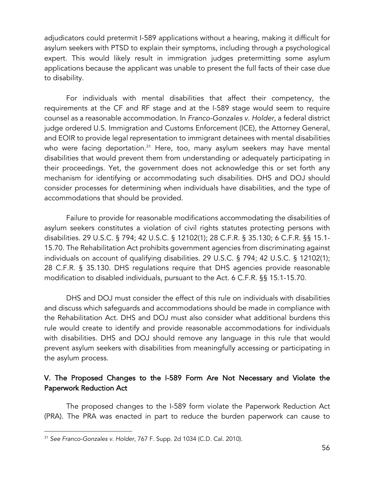adjudicators could pretermit I-589 applications without a hearing, making it difficult for asylum seekers with PTSD to explain their symptoms, including through a psychological expert. This would likely result in immigration judges pretermitting some asylum applications because the applicant was unable to present the full facts of their case due to disability.

For individuals with mental disabilities that affect their competency, the requirements at the CF and RF stage and at the I-589 stage would seem to require counsel as a reasonable accommodation. In *Franco-Gonzales v. Holder*, a federal district judge ordered U.S. Immigration and Customs Enforcement (ICE), the Attorney General, and EOIR to provide legal representation to immigrant detainees with mental disabilities who were facing deportation.<sup>31</sup> Here, too, many asylum seekers may have mental disabilities that would prevent them from understanding or adequately participating in their proceedings. Yet, the government does not acknowledge this or set forth any mechanism for identifying or accommodating such disabilities. DHS and DOJ should consider processes for determining when individuals have disabilities, and the type of accommodations that should be provided.

Failure to provide for reasonable modifications accommodating the disabilities of asylum seekers constitutes a violation of civil rights statutes protecting persons with disabilities. 29 U.S.C. § 794; 42 U.S.C. § 12102(1); 28 C.F.R. § 35.130; 6 C.F.R. §§ 15.1- 15.70. The Rehabilitation Act prohibits government agencies from discriminating against individuals on account of qualifying disabilities. 29 U.S.C. § 794; 42 U.S.C. § 12102(1); 28 C.F.R. § 35.130. DHS regulations require that DHS agencies provide reasonable modification to disabled individuals, pursuant to the Act. 6 C.F.R. §§ 15.1-15.70.

DHS and DOJ must consider the effect of this rule on individuals with disabilities and discuss which safeguards and accommodations should be made in compliance with the Rehabilitation Act. DHS and DOJ must also consider what additional burdens this rule would create to identify and provide reasonable accommodations for individuals with disabilities. DHS and DOJ should remove any language in this rule that would prevent asylum seekers with disabilities from meaningfully accessing or participating in the asylum process.

## V. The Proposed Changes to the I-589 Form Are Not Necessary and Violate the Paperwork Reduction Act

The proposed changes to the I-589 form violate the Paperwork Reduction Act (PRA). The PRA was enacted in part to reduce the burden paperwork can cause to

<sup>31</sup> *See Franco-Gonzales v. Holder*, 767 F. Supp. 2d 1034 (C.D. Cal. 2010).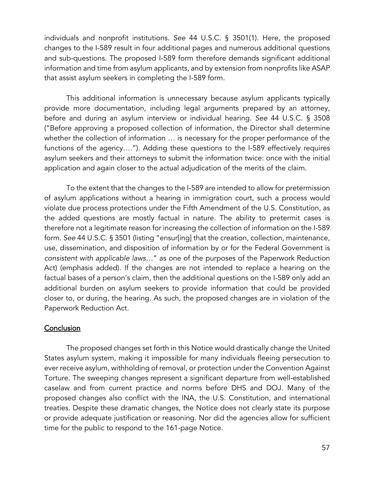individuals and nonprofit institutions. *See* 44 U.S.C. § 3501(1). Here, the proposed changes to the I-589 result in four additional pages and numerous additional questions and sub-questions. The proposed I-589 form therefore demands significant additional information and time from asylum applicants, and by extension from nonprofits like ASAP that assist asylum seekers in completing the I-589 form.

This additional information is unnecessary because asylum applicants typically provide more documentation, including legal arguments prepared by an attorney, before and during an asylum interview or individual hearing. *See* 44 U.S.C. § 3508 ("Before approving a proposed collection of information, the Director shall determine whether the collection of information … is necessary for the proper performance of the functions of the agency…."). Adding these questions to the I-589 effectively requires asylum seekers and their attorneys to submit the information twice: once with the initial application and again closer to the actual adjudication of the merits of the claim.

To the extent that the changes to the I-589 are intended to allow for pretermission of asylum applications without a hearing in immigration court, such a process would violate due process protections under the Fifth Amendment of the U.S. Constitution, as the added questions are mostly factual in nature. The ability to pretermit cases is therefore not a legitimate reason for increasing the collection of information on the I-589 form. *See* 44 U.S.C. § 3501 (listing "ensur[ing] that the creation, collection, maintenance, use, dissemination, and disposition of information by or for the Federal Government is *consistent with applicable laws*…" as one of the purposes of the Paperwork Reduction Act) (emphasis added). If the changes are not intended to replace a hearing on the factual bases of a person's claim, then the additional questions on the I-589 only add an additional burden on asylum seekers to provide information that could be provided closer to, or during, the hearing. As such, the proposed changes are in violation of the Paperwork Reduction Act.

### **Conclusion**

The proposed changes set forth in this Notice would drastically change the United States asylum system, making it impossible for many individuals fleeing persecution to ever receive asylum, withholding of removal, or protection under the Convention Against Torture. The sweeping changes represent a significant departure from well-established caselaw and from current practice and norms before DHS and DOJ. Many of the proposed changes also conflict with the INA, the U.S. Constitution, and international treaties. Despite these dramatic changes, the Notice does not clearly state its purpose or provide adequate justification or reasoning. Nor did the agencies allow for sufficient time for the public to respond to the 161-page Notice.